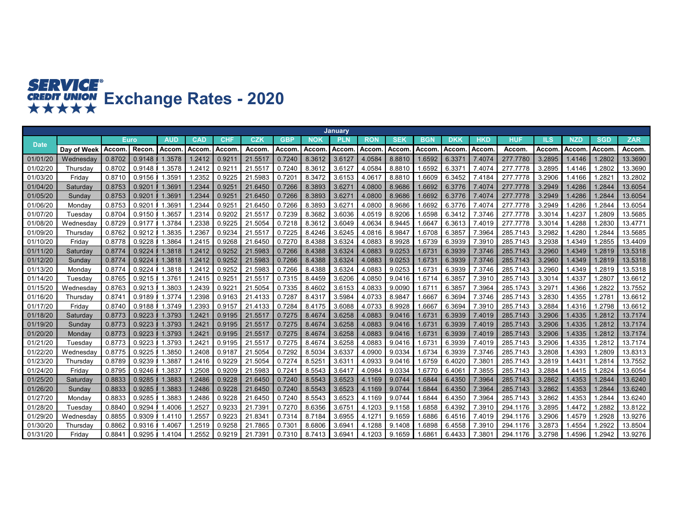## **SERVICE<sup>®</sup><br>
CREDIT UNION**<br> **★★★★★**<br> **EXCHANGERY RATES - 2020**

|             |                      |              |        |            |                    |            |         |            |            | <b>January</b> |            |            |            |            |                 |          |            |            |              |            |
|-------------|----------------------|--------------|--------|------------|--------------------|------------|---------|------------|------------|----------------|------------|------------|------------|------------|-----------------|----------|------------|------------|--------------|------------|
| <b>Date</b> |                      |              | Euro   | <b>AUD</b> | <b>CAD</b>         | <b>CHF</b> | CZK     | <b>GBP</b> | <b>NOK</b> | <b>PLN</b>     | <b>RON</b> | <b>SEK</b> | <b>BGN</b> | <b>DKK</b> | <b>HKD</b>      | HUF      | <b>ILS</b> | <b>NZD</b> | <b>SGD</b>   | <b>ZAR</b> |
|             | Dav of Week          | <b>Accom</b> | Recon  | Accom      | Accom              | Accom      | Accom   | Accom      | Accom      | Accom          | Accom      | Accom      | Accom      | Accom      | Accom           | Accom    | Accom      | Accom      | <b>Accom</b> | Accom.     |
| 01/01/2     | Wednesday            | 0.8702       | 0.9148 | 1.3578     | 1.2412             | 0.921      | 21.551  | 0.7240     | 8.3612     | 3.6127         | 4.0584     | 8.8810     | .6592      | 6.3371     | 7.4074          | 277.7780 | 3.2895     | 1.4146     | .2802        | 13.3690    |
| 01/02/20    | Thursday             | 0.8702       | 0.9148 | 1.3578     | .2412              | 0.921      | 21.551  | 0.7240     | 8.3612     | 3.612          | 4.0584     | 8.8810     | 1.6592     | 6.3371     | 7.4074          | 277.7778 | 3.2895     | 1.4146     | .2802        | 13.3690    |
| 01/03/20    | Fridav               | 0.8710       | 0.9156 | 1.3591     | 1.2352             | 0.9225     | 21.5983 | 0.7201     | 8.3472     | 3.6153         | 4.0617     | 8.8810     | .6609      | 6.3452     | 7.4184          | 277.7778 | 3.2906     | 1.4166     | .282         | 13.2802    |
| 01/04/20    | Saturday             | 0.8753       | 0.9201 | 1.3691     | 1.2344             | 0.925      | 21.6450 | 0.7266     | 8.3893     | 3.627          | 4.0800     | 8.9686     | .6692      | 6.3776     | 7.4074          | 277.7778 | 3.2949     | 1.4286     | .2844        | 13.6054    |
| 01/05/20    | <b>Sunday</b>        | 0.8753       | 0.9201 | 1.3691     | .2344              | 0.925      | 21.6450 | 0.7266     | 8.3893     | 3.627          | 4.0800     | 8.9686     | .6692      | 6.3776     | 7.4074          | 277,7778 | 3.2949     | 1.4286     | .2844        | 3.6054     |
| 01/06/20    | Monday               | 0.8753       | 0.9201 | 1.369'     | .2344              | 0.925      | 21.6450 | 0.7266     | 8.3893     | 3.627          | 4.0800     | 8.9686     | .6692      | 6.3776     | 7.4074          | 277.7778 | 3.2949     | 1.4286     | .2844        | 13.6054    |
| 01/07/20    | Tuesdav              | 0.8704       | 0.9150 | 1.3657     | .2314              | 0.9202     | 21.551  | 0.7239     | 8.3682     | 3.6036         | 4.0519     | 8.9206     | 1.6598     | 6.3412     | 7.3746          | 277.7778 | 3.3014     | 1.4237     | .2809        | 13.5685    |
| 01/08/20    | Wednesday            | 0.8729       | 0.9177 | 1.3784     | .2338              | 0.9225     | 21.5054 | 0.7218     | 8.3612     | 3.6049         | 4.0634     | 8.9445     | .664       | 6.3613     | 7.4019          | 277.7778 | 3.3014     | 1.4288     | .2830        | 13.4771    |
| 01/09/20    | Thursday             | 0.8762       | 0.9212 | 1.3835     | .2367              | 0.9234     | 21.551  | 0.7225     | 8.4246     | 3.6245         | 4.0816     | 8.9847     | .6708      | 6.3857     | 7.3964          | 285.7143 | 3.2982     | 1.4280     | .2844        | 13.5685    |
| 01/10/20    | Fridav               | 0.8778       | 0.9228 | 1.3864     | 1.2415             | 0.9268     | 21.6450 | 0.7270     | 8.4388     | 3.6324         | 4.0883     | 8.9928     | 1.6739     | 6.3939     | 7.3910          | 285.7143 | 3.2938     | 1.4349     | .2855        | 13.4409    |
| 01/11/20    | Saturda <sup>,</sup> | 0.8774       | 0.9224 | 1.3818     | 1.2412             | 0.9252     | 21.5983 | 0.7266     | 8.4388     | 3.6324         | 4.0883     | 9.0253     | 1.673      | 6.3939     | 7.3746          | 285.7143 | 3.2960     | 1.4349     | 1.2819       | 13.5318    |
| 01/12/20    | Sunday               | 0.8774       | 0.9224 | 1.3818     | 1.2412             | 0.9252     | 21.5983 | 0.7266     | 8.4388     | 3.6324         | 4.0883     | 9.0253     | 1.673      | 6.3939     | 7.3746          | 285.7143 | 3.2960     | 1.4349     | .2819        | 13.5318    |
| 01/13/20    | Mondav               | 0.8774       | 0.9224 | 1.3818     | .2412              | 0.9252     | 21.5983 | 0.7266     | 8.4388     | 3.6324         | 4.0883     | 9.0253     | 1.673      | 6.3939     | 3746            | 285.7143 | 3.2960     | 1.4349     | .2819        | 13.5318    |
| 01/14/20    | Tuesday              | 0.8765       | 0.9215 | 1.3761     | 1.2415             | 0.925      | 21.551  | 0.7315     | 8.4459     | 3.6206         | 4.0850     | 9.0416     | 1.6714     | 6.3857     | 7.3910          | 285.7143 | 3.3014     | 1.4337     | .2807        | 13.6612    |
| 01/15/20    | Wednesday            | 0.8763       | 0.9213 | 1.3803     | .2439              | 0.922      | 21.5054 | 0.7335     | 8.4602     | 3.6153         | 4.0833     | 9.0090     | .671       | 6.3857     | 7.3964          | 285.1743 | 3.2971     | 1.4366     | .2822        | 13.7552    |
| 01/16/20    | Thursda∖             | 0.8741       | 0.9189 | 1.3774     | .2398              | 0.9163     | 21.4133 | 0.7287     | 8.4317     | 3.5984         | 4.0733     | 8.9847     | .666       | 6.3694     | 7.3746          | 285.7143 | 3.2830     | 1.4355     | .2781        | 13.6612    |
| 01/17/20    | Fridav               | 0.8740       | 0.9188 | 1.3749     | .2393              | 0.9157     | 21.4133 | 0.7284     | 8.4175     | 3.6088         | 4.0733     | 8.9928     | 1.666      | 6.3694     | 7.3910          | 285.7143 | 3.2884     | 1.4316     | 1.2798       | 13.6612    |
| 01/18/20    | Saturday             | 0.8773       | 0.9223 | 1.3793     | 1.2421             | 0.9195     | 21.551  | 0.7275     | 8.4674     | 3.6258         | 4.0883     | 9.0416     | 1.673      | 6.3939     | 7.4019          | 285.7143 | 3.2906     | 1.4335     | .2812        | 13.7174    |
| 01/19/20    | Sunday               | 0.8773       | 0.9223 | 1.3793     | 1.242'             | 0.9195     | 21.551  | 0.7275     | 8.4674     | 3.6258         | 4.0883     | 9.0416     | 1.673      | 6.3939     | 7.4019          | 285.7143 | 3.2906     | 1.4335     | .2812        | 13.7174    |
| 01/20/20    | Mondav               | 0.8773       | 0.9223 | 1.3793     | 1.242'             | 0.9195     | 21.551  | 0.7275     | 8.4674     | 3.6258         | 4.0883     | 9.0416     | 1.673      | 6.3939     | 7.4019          | 285.7143 | 3.2906     | 1.4335     | 1.2812       | 13.7174    |
| 01/21/20    | Tuesday              | 0.8773       | 0.9223 | 1.3793     | 1.242 <sup>-</sup> | 0.9195     | 21.551  | 0.7275     | 8.4674     | 3.6258         | 4.0883     | 9.0416     | 1.673      | 6.3939     | 7.4019          | 285.7143 | 3.2906     | 1.4335     | .2812        | 13.7174    |
| 01/22/20    | Wednesday            | 0.8775       | 0.9225 | 1.3850     | 1.2408             | 0.918      | 21.5054 | 0.7292     | 8.5034     | 3.6337         | 4.0900     | 9.0334     | 1.6734     | 6.3939     | 7.3746          | 285.7143 | 3.2808     | 1.4393     | .2809        | 13.8313    |
| 01/23/20    | Thursday             | 0.8789       | 0.9239 | .3887      | 1.2416             | 0.9229     | 21.5054 | 0.7274     | 8.5251     | 3.631          | 4.0933     | 9.0416     | 1.6759     | 6.4020     | $7.380^{\circ}$ | 285.7143 | 3.2819     | 1.4431     | .2814        | 13.7552    |
| 01/24/20    | Fridav               | 0.8795       | 0.9246 | .3837      | 1.2508             | 0.9209     | 21.5983 | 0.724'     | 8.5543     | 3.641          | 4.0984     | 9.0334     | 1.6770     | 6.4061     | 7.3855          | 285.7143 | 3.2884     | 1.4415     | .2824        | 13.6054    |
| 01/25/20    | Saturday             | 0.8833       | 0.9285 | 1.3883     | 1.2486             | 0.9228     | 21.6450 | 0.7240     | 8.5543     | 3.6523         | 4.1169     | 9.0744     | 1.6844     | 6.4350     | 7.3964          | 285.7143 | 3.2862     | 1.4353     | .2844        | 13.6240    |
| 01/26/20    | Sunday               | 0.8833       | 0.9285 | 1.3883     | 1.2486             | 0.9228     | 21.6450 | 0.7240     | 8.5543     | 3.6523         | 4.1169     | 9.0744     | .6844      | 6.4350     | 7.3964          | 285.7143 | 3.2862     | 1.4353     | .2844        | 13.6240    |
| 01/27/20    | Monday               | 0.8833       | 0.9285 | 1.3883     | 1.2486             | 0.9228     | 21.6450 | 0.7240     | 8.5543     | 3.6523         | 4.1169     | 9.0744     | 1.6844     | 6.4350     | 7.3964          | 285.7143 | 3.2862     | 1.4353     | .2844        | 13.6240    |
| 01/28/20    | Tuesday              | 0.8840       | 0.9294 | 1.4006     | .2527              | 0.9233     | 21.739  | 0.7270     | 8.6356     | 3.675'         | 4.1203     | 9.1158     | .6858      | 6.4392     | 7.3910          | 294.1176 | 3.2895     | 1.4472     | .2882        | 13.8122    |
| 01/29/20    | Wednesdav            | 0.8855       | 0.9309 | 1.4110     | .2557              | 0.9223     | 21.834  | 0.7314     | 8.7184     | 3.6955         | 4.127      | 9.1659     | .6886      | 6.4516     | 7.4019          | 294.1176 | 3.2906     | .4579      | .2928        | 13.9276    |
| 01/30/20    | Thursday             | 0.8862       | 0.9316 | .4067      | 1.2519             | 0.9258     | 21.786  | 0.730'     | 8.6806     | 3.694          | 4.1288     | 9.1408     | .6898      | 6.4558     | 7.3910          | 294.1176 | 3.2873     | 1.4554     | .2922        | 13.8504    |
| 01/31/20    | Fridav               | 0.8841       | 0.9295 | 1.4104     | 1.2552             | 0.9219     | 21.739  | 0.7310     | 8.7413     | 3.694          | 4.1203     | 9.1659     | 1.686'     | 6.4433     | 7.380'          | 294.1176 | 3.2798     | 1.4596     | .2942        | 13.9276    |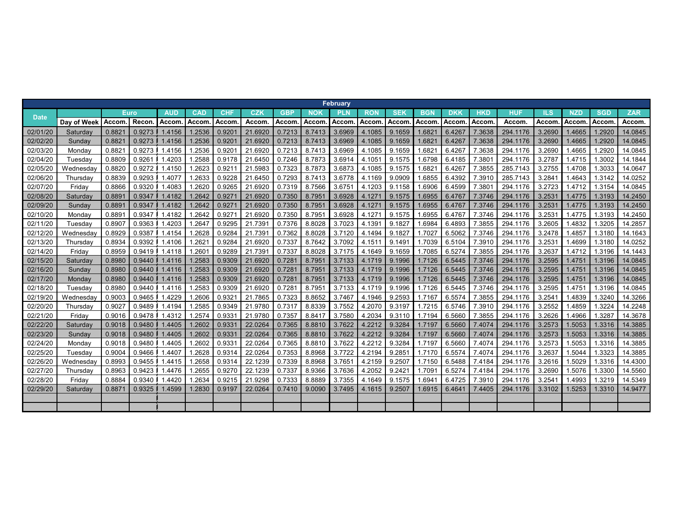|             |             |        |              |            |        |            |              |            |            | February   |            |                 |                   |            |                    |            |            |              |            |            |
|-------------|-------------|--------|--------------|------------|--------|------------|--------------|------------|------------|------------|------------|-----------------|-------------------|------------|--------------------|------------|------------|--------------|------------|------------|
| <b>Date</b> |             |        | <b>Euro</b>  | <b>AUD</b> | CAD    | <b>CHF</b> | CZK          | <b>GBP</b> | <b>NOK</b> | <b>PLN</b> | <b>RON</b> | <b>SEK</b>      | <b>BGN</b>        | <b>DKK</b> | <b>HKD</b>         | <b>HUF</b> | <b>ILS</b> | <b>NZD</b>   | <b>SGD</b> | <b>ZAR</b> |
|             | Day of Week | Accom  | <b>Recon</b> | Accom      | Accom  | Accom      | <b>Accom</b> | Accom      | Accom      | Accom      | Accom.     | Accom           | Accom             | Accom.     | Accom              | Accom      | Accom      | <b>Accom</b> | Accom.     | Accom.     |
| 02/01/20    | Saturday    | 0.882  | 0.9273       | 1.4156     | 1.2536 | 0.920      | 21.6920      | 0.7213     | 8.7413     | 3.6969     | 4.1085     | 9.1659          | 1.682             | 6.4267     | 7.3638             | 294.1176   | 3.2690     | 1.4665       | 1.2920     | 14.0845    |
| 02/02/20    | Sunday      | 0.882  | 0.9273       | 1.4156     | 1.2536 | 0.920      | 21.6920      | 0.7213     | 8.7413     | 3.6969     | 4.1085     | 9.1659          | 1.682'            | 6.4267     | 7.3638             | 294.1176   | 3.2690     | 1.4665       | 1.2920     | 14.0845    |
| 02/03/20    | Monday      | 0.882' | 0.9273       | 1.4156     | .2536  | 0.9201     | 21.6920      | 0.7213     | 8.7413     | 3.6969     | 4.1085     | 9.1659          | 1.682'            | 6.4267     | 7.3638             | 294.1176   | 3.2690     | 1.4665       | 1.2920     | 14.0845    |
| 02/04/20    | Tuesdav     | 0.8809 | 0.9261       | .4203      | .2588  | 0.9178     | 21.6450      | 0.7246     | 8.7873     | 3.6914     | 4.1051     | 9.1575          | .6798<br>1        | 6.4185     | 7.380'             | 294.1176   | 3.2787     | 1.4715       | 1.3002     | 14.1844    |
| 02/05/20    | Wednesday   | 0.8820 | 0.9272       | 1.4150     | 1.2623 | 0.921      | 21.5983      | 0.7323     | 8.7873     | 3.6873     | 4.1085     | 9.1575          | .682'             | 6.4267     | 7.3855             | 285.7143   | 3.2755     | 1.4708       | 1.3033     | 14.0647    |
| 02/06/20    | Thursdav    | 0.8839 | 0.9293       | 1.4077     | .2633  | 0.9228     | 21.6450      | 0.7293     | 8.7413     | 3.6778     | 4.1169     | 9.0909          | .6855             | 6.4392     | 7.3910             | 285.7143   | 3.2841     | 1.4643       | 1.3142     | 14.0252    |
| 02/07/20    | Friday      | 0.8866 | 0.9320       | 1.4083     | .2620  | 0.9265     | 21.6920      | 0.7319     | 8.7566     | 3.6751     | 4.1203     | 9.1158          | .6906             | 6.4599     | 7.380 <sup>4</sup> | 294.1176   | 3.2723     | 1.4712       | 1.3154     | 14.0845    |
| 02/08/20    | Saturday    | 0.889' | 0.9347       | 1.4182     | 1.2642 | 0.927      | 21.6920      | 0.7350     | 8.7951     | 3.6928     | 4.1271     | 9.1575          | 1.6955            | 6.4767     | 7.3746             | 294.1176   | 3.2531     | 1.4775       | 1.3193     | 14.2450    |
| 02/09/20    | Sunday      | 0.889  | 0.9347       | 1.4182     | 1.2642 | 0.927      | 21.6920      | 0.7350     | 8.7951     | 3.6928     | 4.1271     | 9.1575          | 1.6955            | 6.4767     | 7.3746             | 294.1176   | 3.2531     | 1.4775       | 1.3193     | 14.2450    |
| 02/10/20    | Monday      | 0.889' | 0.9347       | 1.4182     | 1.2642 | 0.927      | 21.6920      | 0.7350     | 8.7951     | 3.6928     | 4.1271     | 9.1575          | 1.6955            | 6.4767     | 7.3746             | 294.1176   | 3.2531     | 1.4775       | 1.3193     | 14.2450    |
| 02/11/20    | Tuesdav     | 0.8907 | 0.9363       | 1.4203     | .264   | 0.9295     | 21.739       | 0.7376     | 8.8028     | 3.7023     | 4.1391     | 9.1827          | .6984             | 6.4893     | 7.3855             | 294.1176   | 3.2605     | 1.4832       | 1.3205     | 14.2857    |
| 02/12/20    | Wednesday   | 0.8929 | 0.9387       | 1.4154     | 1.2628 | 0.9284     | 21.739       | 0.7362     | 8.8028     | 3.7120     | 4.1494     | 9.1827          | 1.7027            | 6.5062     | 7.3746             | 294.1176   | 3.2478     | 1.4857       | 1.3180     | 14.1643    |
| 02/13/20    | Thursday    | 0.8934 | 0.9392       | 1.4106     | .262'  | 0.9284     | 21.6920      | 0.7337     | 8.7642     | 3.7092     | 4.1511     | 9.1491          | 1.7039            | 6.5104     | 7.3910             | 294.1176   | 3.2531     | 1.4699       | 1.3180     | 14.0252    |
| 02/14/20    | Friday      | 0.8959 | 0.9419       | 1.4118     | 1.260  | 0.9289     | 21.739       | 0.7337     | 8.8028     | 3.7175     | 4.1649     | 9.1659          | 1.7085            | 6.5274     | 7.3855             | 294.1176   | 3.2637     | 1.4712       | 1.3196     | 14.1443    |
| 02/15/20    | Saturdav    | 0.8980 | 0.9440       | 1.4116     | 1.2583 | 0.9309     | 21.6920      | 0.7281     | 8.7951     | 3.7133     | 4.1719     | 9.1996          | 1.7126            | 6.5445     | 7.3746             | 294.1176   | 3.2595     | 1.4751       | 1.3196     | 14.0845    |
| 02/16/20    | Sunday      | 0.8980 | 0.9440       | 1.4116     | 1.2583 | 0.9309     | 21.6920      | 0.7281     | 8.7951     | 3.7133     | 4.1719     | 9.1996          | 1.7126            | 6.5445     | 7.3746             | 294.1176   | 3.2595     | 1.4751       | 1.3196     | 14.0845    |
| 02/17/20    | Monday      | 0.8980 | 0.9440       | 1.4116     | .2583  | 0.9309     | 21.6920      | 0.7281     | 8.7951     | 3.7133     | 4.1719     | 9.1996          | 1.7126            | 6.5445     | 7.3746             | 294.1176   | 3.2595     | 1.4751       | 1.3196     | 14.0845    |
| 02/18/20    | Tuesdav     | 0.8980 | 0.9440       | 1.4116     | .2583  | 0.9309     | 21.6920      | 0.7281     | 8.7951     | 3.7133     | 4.1719     | 9.1996          | 1.7126            | 6.5445     | 7.3746             | 294.1176   | 3.2595     | 1.4751       | 1.3196     | 14.0845    |
| 02/19/20    | Wednesday   | 0.9003 | 0.9465       | .4229      | .2606  | 0.932      | 21.7865      | 0.7323     | 8.8652     | 3.7467     | 4.1946     | 9.2593          | 1.7167            | 6.5574     | 7.3855             | 294.1176   | 3.2541     | 1.4839       | 1.3240     | 14.3266    |
| 02/20/20    | Thursdav    | 0.902  | 0.9489       | 1.4194     | .2585  | 0.9349     | 21.9780      | 0.7317     | 8.8339     | 3.7552     | 4.2070     | 9.3197          | 1.7215            | 6.5746     | 7.3910             | 294.1176   | 3.2552     | 1.4859       | 1.3224     | 14.2248    |
| 02/21/20    | Friday      | 0.9016 | 0.9478       | .4312      | .2574  | 0.933'     | 21.9780      | 0.7357     | 8.8417     | 3.7580     | 4.2034     | 9.3110          | 1.7194            | 6.5660     | 7.3855             | 294.1176   | 3.2626     | 1.4966       | 1.3287     | 14.3678    |
| 02/22/20    | Saturday    | 0.9018 | 0.9480       | 1.4405     | 1.2602 | 0.9331     | 22.0264      | 0.7365     | 8.8810     | 3.7622     | 4.2212     | 9.3284          | 1.7197            | 6.5660     | 7.4074             | 294.1176   | 3.2573     | 1.5053       | 1.3316     | 14.3885    |
| 02/23/20    | Sunday      | 0.9018 | 0.9480       | 1.4405     | .2602  | 0.9331     | 22.0264      | 0.7365     | 8.8810     | 3.7622     | 4.2212     | 9.3284          | 1.7197            | 6.5660     | 7.4074             | 294.1176   | 3.2573     | 1.5053       | 1.3316     | 14.3885    |
| 02/24/20    | Monday      | 0.9018 | 0.9480       | .4405      | .2602  | 0.933      | 22.0264      | 0.7365     | 8.8810     | 3.7622     | 4.2212     | 9.3284          | 1.7197            | 6.5660     | 7.4074             | 294.1176   | 3.2573     | 1.5053       | 1.3316     | 14.3885    |
| 02/25/20    | Tuesday     | 0.9004 | 0.9466       | 1.4407     | .2628  | 0.9314     | 22.0264      | 0.7353     | 8.8968     | 3.7722     | 4.2194     | 9.2851          | 1.7170            | 6.5574     | 7.4074             | 294.1176   | 3.2637     | 1.5044       | 1.3323     | 14.3885    |
| 02/26/20    | Wednesday   | 0.8993 | 0.9455       | .4415      | .2658  | 0.9314     | 22.1239      | 0.7339     | 8.8968     | 3.7651     | 4.2159     | 9.2507          | 1.7150            | 6.5488     | 7.4184             | 294.1176   | 3.2616     | 1.5029       | 1.3316     | 14.4300    |
| 02/27/20    | Thursdav    | 0.8963 | 0.9423       | 1.4476     | .2655  | 0.9270     | 22.1239      | 0.7337     | 8.9366     | 3.7636     | 4.2052     | $9.242^{\circ}$ | 1.709'            | 6.5274     | 7.4184             | 294.1176   | 3.2690     | 1.5076       | 1.3300     | 14.5560    |
| 02/28/20    | Friday      | 0.8884 | 0.9340       | .4420      | .2634  | 0.9215     | 21.9298      | 0.7333     | 8.8889     | 3.7355     | 4.1649     | 9.1575          | .694 <sup>2</sup> | 6.4725     | 7.3910             | 294.1176   | 3.2541     | 1.4993       | 1.3219     | 14.5349    |
| 02/29/20    | Saturday    | 0.887  | 0.9325       | 1.4599     | 1.2830 | 0.9197     | 22.0264      | 0.7410     | 9.0090     | 3.7495     | 4.1615     | 9.2507          | 1.6915            | 6.4641     | 7.4405             | 294.1176   | 3.3102     | 1.5253       | 1.3310     | 14.9477    |
|             |             |        |              |            |        |            |              |            |            |            |            |                 |                   |            |                    |            |            |              |            |            |
|             |             |        |              |            |        |            |              |            |            |            |            |                 |                   |            |                    |            |            |              |            |            |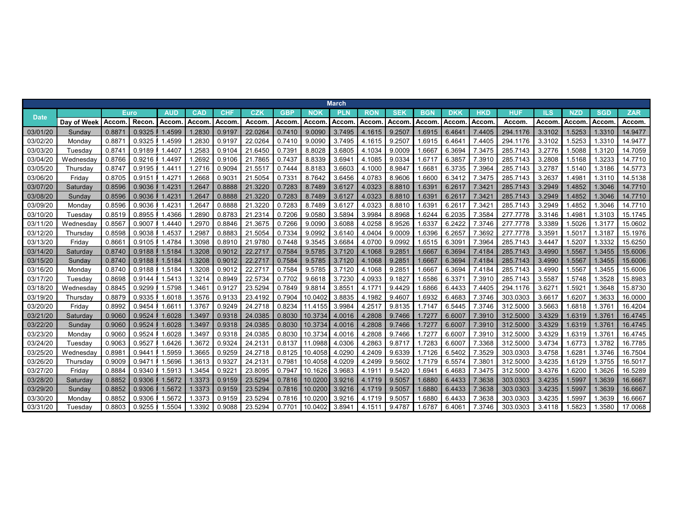|             |             |        |             |            |            |            |         |            |         | <b>March</b> |            |            |            |            |        |          |        |            |            |            |
|-------------|-------------|--------|-------------|------------|------------|------------|---------|------------|---------|--------------|------------|------------|------------|------------|--------|----------|--------|------------|------------|------------|
| <b>Date</b> |             |        | <b>Euro</b> | <b>AUD</b> | <b>CAD</b> | <b>CHF</b> | CZK     | <b>GBP</b> | NOK     | <b>PLN</b>   | <b>RON</b> | <b>SEK</b> | <b>BGN</b> | <b>DKK</b> | HKD    | HUF      | ILS    | <b>NZD</b> | <b>SGD</b> | <b>ZAR</b> |
|             | Day of Week | Accom  | Recon       | Accom      | Accom      | Accom      | Accom   | Accom      | Accom   | Accom        | Accom      | Accom      | Accom      | Accom      | Accom  | Accom    | Accom. | Accom      | Accom      | Accom.     |
| 03/01/20    | Sunday      | 0.887  | 0.9325      | 1.4599     | 1.2830     | 0.9197     | 22.0264 | 0.7410     | 9.0090  | 3.7495       | 4.1615     | 9.2507     | 1.6915     | 6.464'     | 7.4405 | 294.1176 | 3.3102 | 1.5253     | .3310      | 14.9477    |
| 03/02/20    | Mondav      | 0.887  | 0.9325      | .4599      | .2830      | 0.919      | 22.0264 | 0.7410     | 9.0090  | 3.7495       | 4.1615     | 9.250      | .6915      | 6.464'     | 7.4405 | 294.1176 | 3.3102 | 1.5253     | .3310      | 14.9477    |
| 03/03/20    | Tuesdav     | 0.874  | 0.9189      | .4407      | .2583      | 0.9104     | 21.6450 | 0.7391     | 8.8028  | 3.6805       | 4.1034     | 9.0009     | 1.6667     | 6.3694     | 7.3475 | 285.7143 | 3.2776 | 1.5088     | .3120      | 14.7059    |
| 03/04/20    | Wednesday   | 0.8766 | 0.9216      | .4497      | .2692      | 0.9106     | 21.7865 | 0.7437     | 8.8339  | 3.694'       | 4.1085     | 9.0334     | .671       | 6.3857     | 7.3910 | 285.7143 | 3.2808 | 1.5168     | .3233      | 14.7710    |
| 03/05/20    | Thursday    | 0.8747 | 0.9195      | .4411      | .2716      | 0.9094     | 21.551  | 0.7444     | 8.8183  | 3.6603       | 4.1000     | 8.9847     | 0.668      | 6.3735     | 7.3964 | 285.7143 | 3.2787 | 1.5140     | .3186      | 14.5773    |
| 03/06/20    | Friday      | 0.8705 | 0.9151      | .4271      | .2668      | 0.903      | 21.505  | 0.7331     | 8.7642  | 3.6456       | 4.0783     | 8.9606     | .660       | 6.3412     | 7.3475 | 285.7143 | 3.2637 | 1.498'     | 1.3110     | 14.5138    |
| 03/07/20    | Saturday    | 0.8596 | 0.9036      | 1.4231     | 1.2647     | 0.8888     | 21.3220 | 0.7283     | 8.7489  | 3.6127       | 4.0323     | 8.8810     | 1.639      | 6.2617     | 7.342' | 285.7143 | 3.2949 | 1.4852     | .3046      | 14.7710    |
| 03/08/20    | Sunday      | 0.8596 | 0.9036      | 1.4231     | 1.2647     | 0.8888     | 21.3220 | 0.7283     | 8.7489  | 3.6127       | 4.0323     | 8.8810     | 1.639      | 6.2617     | 7.342' | 285.7143 | 3.2949 | 1.4852     | 1.3046     | 14.7710    |
| 03/09/20    | Mondav      | 0.8596 | 0.9036      | .4231      | 1.264      | 0.8888     | 21.3220 | 0.7283     | 8.7489  | 3.6127       | 4.0323     | 8.8810     | 1.639      | 6.2617     | 7.342' | 285.7143 | 3.2949 | .4852      | .3046      | 14.7710    |
| 03/10/20    | Tuesdav     | 0.8519 | 0.8955      | .4366      | .2890      | 0.8783     | 21.2314 | 0.7206     | 9.0580  | 3.5894       | 3.9984     | 8.8968     | 1.6244     | 6.2035     | 7.3584 | 277.7778 | 3.3146 | 1.498'     | .3103      | 15.1745    |
| 03/11/20    | Wednesday   | 0.856  | 0.9007      | .4440      | .297       | 0.8846     | 21.3675 | 0.7266     | 9.0090  | 3.6088       | 4.0258     | 8.9526     | .6337      | 6.2422     | 7.3746 | 277.7778 | 3.3389 | 1.5026     | .3177      | 15.0602    |
| 03/12/20    | Thursdav    | 0.8598 | 0.9038      | .4537      | .2987      | 0.8883     | 21.5054 | 0.7334     | 9.0992  | 3.6140       | 4.0404     | 9.0009     | .6396      | 6.2657     | 7.3692 | 277,7778 | 3.359' | 1.5017     | .3187      | 15.1976    |
| 03/13/20    | Friday      | 0.866  | 0.9105      | 1.4784     | .3098      | 0.8910     | 21.978  | 0.7448     | 9.3545  | 3.6684       | 4.0700     | 9.0992     | .6515      | 6.309'     | 7.3964 | 285.7143 | 3.4447 | 1.5207     | .3332      | 15.6250    |
| 03/14/20    | Saturday    | 0.8740 | 0.9188      | 1.5184     | 1.3208     | 0.9012     | 22.271  | 0.7584     | 9.5785  | 3.7120       | 4.1068     | 9.2851     | 1.6667     | 6.3694     | 7.4184 | 285.7143 | 3.4990 | 1.5567     | .3455      | 15.6006    |
| 03/15/20    | Sunday      | 0.8740 | 0.9188      | 1.5184     | 1.3208     | 0.9012     | 22.2717 | 0.7584     | 9.5785  | 3.7120       | 4.1068     | 9.285'     | 1.6667     | 6.3694     | 7.4184 | 285.7143 | 3.4990 | 1.5567     | .3455      | 15.6006    |
| 03/16/20    | Monday      | 0.8740 | 0.9188      | 1.5184     | .3208      | 0.9012     | 22.271  | 0.7584     | 9.5785  | 3.7120       | 4.1068     | 9.285      | 1.6667     | 6.3694     | 7.4184 | 285.7143 | 3.4990 | 1.5567     | .3455      | 15.6006    |
| 03/17/20    | Tuesday     | 0.8698 | 0.9144      | .5413      | .3214      | 0.8949     | 22.5734 | 0.7702     | 9.6618  | 3.7230       | 4.0933     | 9.1827     | .6586      | 6.337'     | 7.3910 | 285.7143 | 3.5587 | 1.5748     | .3528      | 15.8983    |
| 03/18/20    | Wednesday   | 0.8845 | 0.9299      | 1.5798     | .346'      | 0.9127     | 23.5294 | 0.7849     | 9.8814  | 3.855'       | 4.177'     | 9.4429     | .6866      | 6.4433     | 7.4405 | 294.1176 | 3.627' | 1.592'     | .3648      | 15.8730    |
| 03/19/20    | Thursday    | 0.8879 | 0.9335      | .6018      | 1.3576     | 0.9133     | 23.4192 | 0.7904     | 10.0402 | 3.8835       | 4.1982     | 9.4607     | .6932      | 6.4683     | 7.3746 | 303.0303 | 3.6617 | 1.6207     | .3633      | 16.0000    |
| 03/20/20    | Fridav      | 0.8992 | 0.9454      | .6611      | 1.376      | 0.9249     | 24.2718 | 0.8234     | 11.4155 | 3.9984       | 4.2517     | 9.8135     | 1.714      | 6.5445     | 7.3746 | 312,5000 | 3.5663 | 1.6818     | .376'      | 16.4204    |
| 03/21/20    | Saturday    | 0.9060 | 0.9524      | 1.6028     | 1.3497     | 0.9318     | 24.0385 | 0.8030     | 10.3734 | 4.0016       | 4.2808     | 9.7466     | 1.727      | 6.6007     | 7.3910 | 312.5000 | 3.4329 | 1.6319     | 1.376'     | 16.4745    |
| 03/22/20    | Sunday      | 0.9060 | 0.9524      | 1.6028     | 1.3497     | 0.9318     | 24.0385 | 0.8030     | 10.3734 | 4.0016       | 4.2808     | 9.7466     | 1.727      | 6.6007     | 7.3910 | 312,5000 | 3.4329 | 1.6319     | .3761      | 16.4745    |
| 03/23/20    | Monday      | 0.9060 | 0.9524      | 1.6028     | .3497      | 0.9318     | 24.0385 | 0.8030     | 10.3734 | 4.0016       | 4.2808     | 9.7466     | 1.727      | 6.6007     | 7.3910 | 312.5000 | 3.4329 | 1.6319     | .376       | 16.4745    |
| 03/24/20    | Tuesday     | 0.9063 | 0.9527      | .6426      | .3672      | 0.9324     | 24.213  | 0.8137     | 11.0988 | 4.0306       | 4.2863     | 9.8717     | 1.7283     | 6.6007     | 7.3368 | 312.5000 | 3.4734 | 1.6773     | .3782      | 16.7785    |
| 03/25/20    | Wednesday   | 0.898  | 0.9441      | 1.5959     | 1.3665     | 0.9259     | 24.2718 | 0.8125     | 10.4058 | 4.0290       | 4.2409     | 9.6339     | 1.7126     | 6.5402     | 7.3529 | 303.0303 | 3.4758 | 1.628'     | 1.3746     | 16.7504    |
| 03/26/20    | Thursday    | 0.9009 | 0.9471      | .5696      | .3613      | 0.932      | 24.213  | 0.7981     | 10.4058 | 4.0209       | 4.2499     | 9.5602     | 1.7179     | 6.5574     | 7.380  | 312.5000 | 3.4235 | 1.6129     | .3755      | 16.5017    |
| 03/27/20    | Fridav      | 0.8884 | 0.9340      | 1.5913     | 1.3454     | 0.922      | 23.8095 | 0.7947     | 10.1626 | 3.9683       | 4.191'     | 9.5420     | 1.6941     | 6.4683     | 7.3475 | 312,5000 | 3.4376 | 1.6200     | .3626      | 16.5289    |
| 03/28/20    | Saturday    | 0.8852 | 0.9306      | 1.5672     | 1.3373     | 0.9159     | 23.5294 | 0.7816     | 10.0200 | 3.9216       | 4.1719     | 9.5057     | 1.6880     | 6.4433     | 7.3638 | 303.0303 | 3.4235 | 1.5997     | .3639      | 16.6667    |
| 03/29/20    | Sunday      | 0.8852 | 0.9306      | .5672      | 1.3373     | 0.9159     | 23.5294 | 0.7816     | 10.0200 | 3.9216       | 4.1719     | 9.5057     | 1.6880     | 6.4433     | 7.3638 | 303.0303 | 3.4235 | 1.5997     | .3639      | 16.6667    |
| 03/30/20    | Monday      | 0.8852 | 0.9306      | .5672      | 1.3373     | 0.9159     | 23.529  | 0.7816     | 10.0200 | 3.9216       | 4.1719     | 9.505      | .6880      | 6.4433     | 7.3638 | 303.0303 | 3.4235 | 1.5997     | .3639      | 16.6667    |
| 03/31/20    | Tuesda∖     | 0.8803 | 0.9255      | .5504      | 1.3392     | 0.9088     | 23.5294 | 0.770'     | 10.0402 | 3.8941       | 4.151'     | 9.4787     | 1.6787     | 6.406'     | 7.3746 | 303.0303 | 3.4118 | 1.5823     | .3580      | 17.0068    |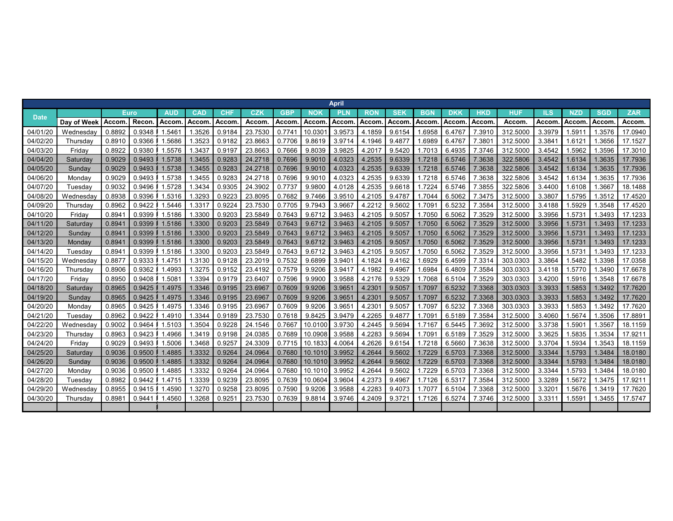|             |             |                    |             |            |            |            |              |            |            | <b>April</b>    |            |            |            |            |                    |            |        |            |            |            |
|-------------|-------------|--------------------|-------------|------------|------------|------------|--------------|------------|------------|-----------------|------------|------------|------------|------------|--------------------|------------|--------|------------|------------|------------|
| <b>Date</b> |             |                    | <b>Euro</b> | <b>AUD</b> | <b>CAD</b> | <b>CHF</b> | CZK          | <b>GBP</b> | <b>NOK</b> | PLN             | <b>RON</b> | <b>SEK</b> | <b>BGN</b> | <b>DKK</b> | <b>HKD</b>         | <b>HUF</b> | ILS    | <b>NZD</b> | <b>SGD</b> | <b>ZAR</b> |
|             | Day of Week | Accom              | Recon       | Accom      | Accom      | Accom      | <b>Accom</b> | Accom      | Accom      | <b>Accom</b>    | Accom      | Accom      | Accom      | Accom      | Accom              | Accom      | Accom  | Accom      | Accom      | Accom.     |
| 04/01/20    | Wednesday   | 0.8892             | 0.9348      | 1.546'     | 1.3526     | 0.9184     | 23.753       | 0.7741     | 10.030     | 3.9573          | 4.1859     | 9.6154     | .6958      | 6.4767     | 7.3910             | 312,500    | 3.3979 | 1.591      | 1.3576     | 17.0940    |
| 04/02/20    | Thursdav    | 0.8910             | 0.9366      | .5686      | .3523      | 0.9182     | 23.866       | 0.7706     | 9.8619     | 3.9714          | 4.1946     | 9.4877     | .6989      | 6.4767     | 7.380 <sup>4</sup> | 312.5000   | 3.3841 | 1.6121     | 1.3656     | 17.1527    |
| 04/03/20    | Fridav      | 0.8922             | 0.9380      | 1.5576     | .3437      | 0.9197     | 23.8663      | 0.7666     | 9.8039     | 3.9825          | 4.2017     | 9.5420     | 1.7013     | 6.4935     | 7.3746             | 312,5000   | 3.4542 | 1.5962     | 1.3596     | 17.3010    |
| 04/04/20    | Saturday    | 0.9029             | 0.9493      | 1.5738     | 1.3455     | 0.9283     | 24.2718      | 0.7696     | 9.9010     | 4.0323          | 4.2535     | 9.6339     | 1.7218     | 6.5746     | 7.3638             | 322.5806   | 3.4542 | 1.6134     | 1.3635     | 17.7936    |
| 04/05/20    | Sundav      | 0.9029             | 0.9493      | 1.5738     | 1.3455     | 0.9283     | 24.2718      | 0.7696     | 9.9010     | 4.0323          | 4.2535     | 9.6339     | 1.7218     | 6.5746     | 7.3638             | 322,5806   | 3.4542 | 1.6134     | 1.3635     | 17.7936    |
| 04/06/20    | Monday      | 0.9029             | 0.9493      | 1.5738     | .3455      | 0.9283     | 24.2718      | 0.7696     | 9.9010     | 4.0323          | 4.2535     | 9.6339     | 1.7218     | 6.5746     | 7.3638             | 322.5806   | 3.4542 | 1.6134     | 1.3635     | 17.7936    |
| 04/07/20    | Tuesday     | 0.9032             | 0.9496      | .5728      | .3434      | 0.9305     | 24.3902      | 0.7737     | 9.9800     | 4.0128          | 4.2535     | 9.6618     | 1.7224     | 6.5746     | 7.3855             | 322.5806   | 3.4400 | 1.6108     | 1.3667     | 18.1488    |
| 04/08/20    | Wednesday   | 0.8938             | 0.9396      | 1.5316     | 1.3293     | 0.9223     | 23.8095      | 0.7682     | 9.7466     | 3.9510          | 4.2105     | 9.4787     | 1.7044     | 6.5062     | 7.3475             | 312.5000   | 3.3807 | 1.5795     | 1.3512     | 17.4520    |
| 04/09/20    | Thursday    | 0.8962             | 0.9422      | 1.5446     | .3317      | 0.9224     | 23.7530      | 0.7705     | 9.7943     | 3.9667          | 4.2212     | 9.5602     | 1.7091     | 6.5232     | 7.3584             | 312,5000   | 3.4188 | 1.5929     | 1.3548     | 17.4520    |
| 04/10/20    | Fridav      | 0.894              | 0.9399      | 1.5186     | 1.3300     | 0.9203     | 23.5849      | 0.7643     | 9.6712     | 3.9463          | 4.2105     | 9.5057     | 1.7050     | 6.5062     | 7.3529             | 312,5000   | 3.3956 | 1.5731     | 1.3493     | 17.1233    |
| 04/11/20    | Saturday    | 0.894              | 0.9399      | 1.5186     | 1.3300     | 0.9203     | 23.5849      | 0.7643     | 9.6712     | 3.9463          | 4.2105     | 9.5057     | 1.7050     | 6.5062     | 7.3529             | 312.5000   | 3.3956 | 1.573'     | 1.3493     | 17.1233    |
| 04/12/20    | Sunday      | 0.8941             | 0.9399      | 1.5186     | 1.3300     | 0.9203     | 23.5849      | 0.7643     | 9.6712     | 3.9463          | 4.2105     | 9.5057     | 1.7050     | 6.5062     | 7.3529             | 312,5000   | 3.3956 | 1.573'     | 1.3493     | 17.1233    |
| 04/13/20    | Monday      | 0.8941             | 0.9399      | 1.5186     | 1.3300     | 0.9203     | 23.5849      | 0.7643     | 9.6712     | 3.9463          | 4.2105     | 9.5057     | 1.7050     | 6.5062     | 7.3529             | 312.5000   | 3.3956 | 1.5731     | 1.3493     | 17.1233    |
| 04/14/20    | Tuesday     | 0.894 <sup>4</sup> | 0.9399      | 1.5186     | .3300      | 0.9203     | 23.5849      | 0.7643     | 9.6712     | 3.9463          | 4.2105     | 9.5057     | 1.7050     | 6.5062     | 7.3529             | 312.5000   | 3.3956 | 1.5731     | 1.3493     | 17.1233    |
| 04/15/20    | Wednesday   | 0.887              | 0.9333      | 1.4751     | 1.3130     | 0.9128     | 23.2019      | 0.7532     | 9.6899     | 3.9401          | 4.1824     | 9.4162     | 1.6929     | 6.4599     | 7.3314             | 303.0303   | 3.3864 | 1.5482     | 1.3398     | 17.0358    |
| 04/16/20    | Thursday    | 0.8906             | 0.9362      | 1.4993     | 1.3275     | 0.9152     | 23.4192      | 0.7579     | 9.9206     | 3.9417          | 4.1982     | 9.4967     | 1.6984     | 6.4809     | 7.3584             | 303.0303   | 3.4118 | 1.5770     | 1.3490     | 17.6678    |
| 04/17/20    | Friday      | 0.8950             | 0.9408      | 1.5081     | 1.3394     | 0.9179     | 23.640       | 0.7596     | 9.9900     | 3.9588          | 4.2176     | 9.5329     | 1.7068     | 6.5104     | 7.3529             | 303.0303   | 3.4200 | 1.5916     | 1.3548     | 17.6678    |
| 04/18/20    | Saturday    | 0.8965             | 0.9425      | 1.4975     | 1.3346     | 0.9195     | 23.6967      | 0.7609     | 9.9206     | 3.9651          | 4.2301     | 9.5057     | 1.7097     | 6.5232     | 7.3368             | 303.0303   | 3.3933 | 1.5853     | 1.3492     | 17.7620    |
| 04/19/20    | Sunday      | 0.8965             | 0.9425      | 1.4975     | 1.3346     | 0.9195     | 23.6967      | 0.7609     | 9.9206     | 3.9651          | 4.2301     | 9.5057     | 1.7097     | 6.5232     | 7.3368             | 303.0303   | 3.3933 | 1.5853     | 1.3492     | 17.7620    |
| 04/20/20    | Monday      | 0.8965             | 0.9425      | .4975      | 1.3346     | 0.9195     | 23.696       | 0.7609     | 9.9206     | $3.965^{\circ}$ | 4.2301     | 9.5057     | 1.7097     | 6.5232     | 7.3368             | 303.0303   | 3.3933 | 1.5853     | 1.3492     | 17.7620    |
| 04/21/20    | Tuesday     | 0.8962             | 0.9422      | 1.4910     | 1.3344     | 0.9189     | 23.7530      | 0.7618     | 9.8425     | 3.9479          | 4.2265     | 9.4877     | 1.709      | 6.5189     | 7.3584             | 312.5000   | 3.4060 | 1.5674     | 1.3506     | 17.8891    |
| 04/22/20    | Wednesday   | 0.9002             | 0.9464      | 1.5103     | .3504      | 0.9228     | 24.1546      | 0.7667     | 10.0100    | 3.9730          | 4.2445     | 9.5694     | 1.7167     | 6.5445     | 7.3692             | 312,5000   | 3.3738 | 1.5901     | 1.3567     | 18.1159    |
| 04/23/20    | Thursday    | 0.8963             | 0.9423      | .4966      | .3419      | 0.9198     | 24.0385      | 0.7689     | 10.0908    | 3.9588          | 4.2283     | 9.5694     | 1.7091     | 6.5189     | 7.3529             | 312.5000   | 3.3625 | 1.5835     | 1.3534     | 17.9211    |
| 04/24/20    | Friday      | 0.9029             | 0.9493      | .5006      | .3468      | 0.9257     | 24.3309      | 0.7715     | 10.1833    | 4.0064          | 4.2626     | 9.6154     | 1.7218     | 6.5660     | 7.3638             | 312,5000   | 3.3704 | 1.5934     | 1.3543     | 18.1159    |
| 04/25/20    | Saturday    | 0.9036             | 0.9500      | 1.4885     | 1.3332     | 0.9264     | 24.0964      | 0.7680     | 10.1010    | 3.9952          | 4.2644     | 9.5602     | 1.7229     | 6.5703     | 7.3368             | 312,5000   | 3.3344 | 1.5793     | 1.3484     | 18.0180    |
| 04/26/20    | Sunday      | 0.9036             | 0.9500      | 1.4885     | 1.3332     | 0.9264     | 24.0964      | 0.7680     | 10.1010    | 3.9952          | 4.2644     | 9.5602     | 1.7229     | 6.5703     | 7.3368             | 312.5000   | 3.3344 | 1.5793     | 1.3484     | 18.0180    |
| 04/27/20    | Monday      | 0.9036             | 0.9500      | .4885      | 1.3332     | 0.9264     | 24.0964      | 0.7680     | 10.1010    | 3.9952          | 4.2644     | 9.5602     | 1.7229     | 6.5703     | 7.3368             | 312,5000   | 3.3344 | 1.5793     | 1.3484     | 18.0180    |
| 04/28/20    | Tuesday     | 0.8982             | 0.9442      | 1.4715     | .3339      | 0.9239     | 23.8095      | 0.7639     | 10.0604    | 3.9604          | 4.2373     | 9.4967     | 1.7126     | 6.5317     | 7.3584             | 312.5000   | 3.3289 | 1.5672     | 1.3475     | 17.9211    |
| 04/29/20    | Wednesdav   | 0.8955             | 0.9415      | .4590      | .327(      | 0.9258     | 23.8095      | 0.7590     | 9.9206     | 3.9588          | 4.2283     | 9.4073     | 1.707      | 6.5104     | 7.3368             | 312,5000   | 3.3201 | 1.5676     | 1.3419     | 17.7620    |
| 04/30/20    | Thursday    | 0.898 <sup>1</sup> | 0.9441      | .4560      | .3268      | 0.9251     | 23.7530      | 0.7639     | 9.8814     | 3.9746          | 4.2409     | 9.372      | 1.7126     | 6.5274     | 7.3746             | 312.5000   | 3.3311 | 1.559'     | 1.3455     | 17.5747    |
|             |             |                    |             |            |            |            |              |            |            |                 |            |            |            |            |                    |            |        |            |            |            |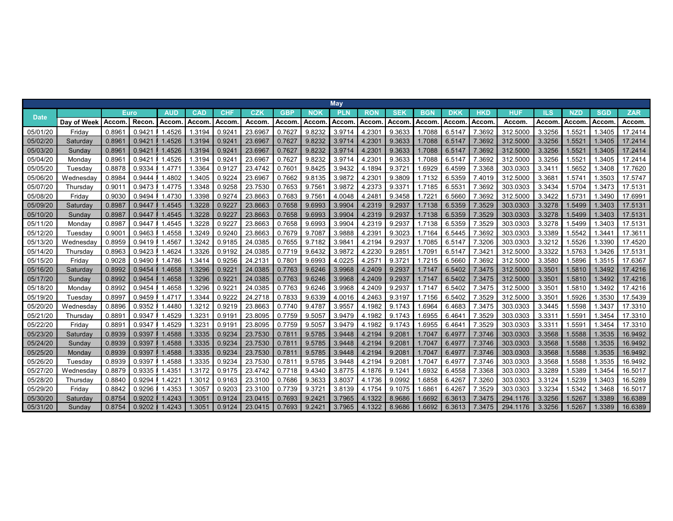|             |             |                    |             |            |            |            |         |            |        | <b>May</b> |            |            |                    |              |        |          |        |            |            |            |
|-------------|-------------|--------------------|-------------|------------|------------|------------|---------|------------|--------|------------|------------|------------|--------------------|--------------|--------|----------|--------|------------|------------|------------|
| <b>Date</b> |             |                    | <b>Euro</b> | <b>AUD</b> | <b>CAD</b> | <b>CHF</b> | CZK     | <b>GBP</b> | NOK    | <b>PLN</b> | <b>RON</b> | <b>SEK</b> | <b>BGN</b>         | <b>DKK</b>   | HKD    | HUF      | ILS    | <b>NZD</b> | <b>SGD</b> | <b>ZAR</b> |
|             | Day of Week | Accom              | Recon       | Accom      | Accom      | Accom      | Accom   | Accom      | Accom  | Accom      | Accom      | Accom      | Accom              | <b>Accom</b> | Accom  | Accom    | Accom. | Accom      | Accom      | Accom.     |
| 05/01/20    | Fridav      | 0.896              | 0.9421      | 1.4526     | 1.3194     | 0.924      | 23.696  | 0.7627     | 9.8232 | 3.9714     | 4.230'     | 9.3633     | 1.7088             | 6.5147       | 7.3692 | 312,500  | 3.3256 | 1.552      | .3405      | 17.2414    |
| 05/02/20    | Saturday    | 0.896              | 0.9421      | 1.4526     | 1.3194     | 0.924      | 23.696  | 0.7627     | 9.8232 | 3.9714     | 4.2301     | 9.3633     | 1.7088             | 6.5147       | 7.3692 | 312.5000 | 3.3256 | 1.552'     | .3405      | 17.2414    |
| 05/03/20    | Sunday      | 0.896              | 0.9421      | .4526      | 1.3194     | 0.924      | 23.696  | 0.7627     | 9.8232 | 3.9714     | 4.230'     | 9.3633     | 1.7088             | 6.5147       | 7.3692 | 312,5000 | 3.3256 | 1.552'     | .3405      | 17.2414    |
| 05/04/20    | Monday      | 0.896              | 0.942'      | .4526      | 1.3194     | 0.924      | 23.696  | 0.7627     | 9.8232 | 3.9714     | 4.230      | 9.3633     | .7088              | 6.5147       | 7.3692 | 312.5000 | 3.3256 | 1.552'     | .3405      | 17.2414    |
| 05/05/20    | Tuesdav     | 0.8878             | 0.9334      | .4771      | 1.3364     | 0.912      | 23.4742 | 0.7601     | 9.8425 | 3.9432     | 4.1894     | 9.372      | .6929              | 6.4599       | 7.3368 | 303.0303 | 3.3411 | 1.5652     | .3408      | 17.7620    |
| 05/06/20    | Wednesday   | 0.8984             | 0.9444      | .4802      | .3405      | 0.9224     | 23.696  | 0.7662     | 9.8135 | 3.9872     | 4.230      | 9.3809     | 1.7132             | 6.5359       | 7.4019 | 312.5000 | 3.368' | 1.574'     | .3503      | 17.5747    |
| 05/07/20    | Thursday    | 0.901              | 0.9473      | .4775      | .3348      | 0.9258     | 23.7530 | 0.7653     | 9.756' | 3.9872     | 4.2373     | 9.337'     | 1.7185             | 6.5531       | 7.3692 | 303.0303 | 3.3434 | 1.5704     | .3473      | 17.5131    |
| 05/08/20    | Friday      | 0.9030             | 0.9494      | 1.4730     | .3398      | 0.9274     | 23.8663 | 0.7683     | 9.756' | 4.0048     | 4.2481     | 9.3458     | 1.722              | 6.5660       | 7.3692 | 312.5000 | 3.3422 | 1.5731     | 1.3490     | 17.6991    |
| 05/09/20    | Saturday    | 0.8987             | 0.9447      | .4545      | 1.3228     | 0.922      | 23.8663 | 0.7658     | 9.6993 | 3.9904     | 4.2319     | 9.2937     | 1.7138             | 6.5359       | 7.3529 | 303.0303 | 3.3278 | 1.5499     | .3403      | 17.5131    |
| 05/10/20    | Sunday      | 0.898              | 0.9447      | 1.4545     | 1.3228     | 0.922      | 23.8663 | 0.7658     | 9.6993 | 3.9904     | 4.2319     | 9.2937     | 1.7138             | 6.5359       | 7.3529 | 303.0303 | 3.3278 | 1.5499     | .3403      | 17.5131    |
| 05/11/20    | Monday      | 0.898              | 0.9447      | .4545      | .3228      | 0.922      | 23.866  | 0.7658     | 9.6993 | 3.9904     | 4.2319     | 9.2937     | 1.7138             | 6.5359       | 7.3529 | 303.0303 | 3.3278 | 1.5499     | .3403      | 17.5131    |
| 05/12/20    | Tuesday     | 0.900 <sup>1</sup> | 0.9463      | .4558      | .3249      | 0.9240     | 23.866  | 0.7679     | 9.7087 | 3.9888     | 4.239      | 9.3023     | 1.7164             | 6.5445       | 7.3692 | 303.0303 | 3.3389 | 1.5542     | .3441      | 17.3611    |
| 05/13/20    | Wednesdav   | 0.8959             | 0.9419      | .4567      | .3242      | 0.9185     | 24.0385 | 0.7655     | 9.7182 | 3.984'     | 4.2194     | 9.2937     | 1.7085             | 6.5147       | 7.3206 | 303.0303 | 3.3212 | 1.5526     | .3390      | 17.4520    |
| 05/14/20    | Thursday    | 0.8963             | 0.9423      | .4624      | .3326      | 0.9192     | 24.0385 | 0.7719     | 9.6432 | 3.9872     | 4.2230     | 9.285      | 1.709 <sup>4</sup> | 6.5147       | 7.342' | 312.5000 | 3.3322 | 1.5763     | .3426      | 17.5131    |
| 05/15/20    | Fridav      | 0.9028             | 0.9490      | .4786      | 1.3414     | 0.9256     | 24.213  | 0.7801     | 9.6993 | 4.0225     | 4.257'     | 9.372      | 1.7215             | 6.5660       | 7.3692 | 312,5000 | 3.3580 | 1.5896     | .3515      | 17.6367    |
| 05/16/20    | Saturday    | 0.8992             | 0.9454      | 1.4658     | 1.3296     | 0.922      | 24.0385 | 0.7763     | 9.6246 | 3.9968     | 4.2409     | 9.2937     | 1.7147             | 6.5402       | 7.3475 | 312.5000 | 3.3501 | 1.5810     | 1.3492     | 17.4216    |
| 05/17/20    | Sunday      | 0.8992             | 0.9454      | 1.4658     | .3296      | 0.922      | 24.0385 | 0.7763     | 9.6246 | 3.9968     | 4.2409     | 9.2937     | 1.7147             | 6.5402       | 7.3475 | 312,5000 | 3.3501 | 1.5810     | .3492      | 17.4216    |
| 05/18/20    | Monday      | 0.8992             | 0.9454      | .4658      | .3296      | 0.922      | 24.0385 | 0.7763     | 9.6246 | 3.9968     | 4.2409     | 9.2937     | 1.7147             | 6.5402       | 7.3475 | 312.5000 | 3.3501 | 1.5810     | .3492      | 17.4216    |
| 05/19/20    | Tuesday     | 0.899              | 0.9459      | .4717      | .3344      | 0.9222     | 24.2718 | 0.7833     | 9.6339 | 4.0016     | 4.2463     | 9.3197     | 1.7156             | 6.5402       | 7.3529 | 312.5000 | 3.3501 | 1.5926     | .3530      | 17.5439    |
| 05/20/20    | Wednesday   | 0.8896             | 0.9352      | .4480      | .3212      | 0.9219     | 23.8663 | 0.7740     | 9.4787 | 3.9557     | 4.1982     | 9.1743     | .6964              | 6.4683       | 7.3475 | 303.0303 | 3.3445 | 1.5598     | .3437      | 17.3310    |
| 05/21/20    | Thursday    | 0.889              | 0.9347      | .4529      | .323'      | 0.919      | 23.8095 | 0.7759     | 9.5057 | 3.9479     | 4.1982     | 9.1743     | .6955              | 6.464'       | 7.3529 | 303.0303 | 3.331' | 1.559'     | .3454      | 17.3310    |
| 05/22/20    | Friday      | 0.889              | 0.9347      | .4529      | .323'      | 0.919      | 23.8095 | 0.7759     | 9.5057 | 3.9479     | 4.1982     | 9.1743     | .6955              | 6.464'       | 7.3529 | 303.0303 | 3.3311 | 1.559'     | .3454      | 17.3310    |
| 05/23/20    | Saturday    | 0.8939             | 0.9397      | 1.4588     | 1.3335     | 0.9234     | 23.7530 | 0.7811     | 9.5785 | 3.9448     | 4.2194     | 9.208'     | 1.7047             | 6.4977       | 7.3746 | 303.0303 | 3.3568 | 1.5588     | .3535      | 16.9492    |
| 05/24/20    | Sunday      | 0.8939             | 0.9397      | .4588      | 1.3335     | 0.9234     | 23.7530 | 0.7811     | 9.5785 | 3.9448     | 4.2194     | 9.208'     | 1.7047             | 6.4977       | 7.3746 | 303.0303 | 3.3568 | 1.5588     | .3535      | 16.9492    |
| 05/25/20    | Monday      | 0.8939             | 0.9397      | 1.4588     | 1.3335     | 0.9234     | 23.7530 | 0.7811     | 9.5785 | 3.9448     | 4.2194     | 9.208      | 1.7047             | 6.4977       | 7.3746 | 303.0303 | 3.3568 | 1.5588     | 1.3535     | 16.9492    |
| 05/26/20    | Tuesday     | 0.8939             | 0.9397      | .4588      | 1.3335     | 0.9234     | 23.7530 | 0.7811     | 9.5785 | 3.9448     | 4.2194     | 9.208      | 1.704              | 6.4977       | 7.3746 | 303.0303 | 3.3568 | 1.5588     | .3535      | 16.9492    |
| 05/27/20    | Wednesdav   | 0.8879             | 0.9335      | .4351      | 1.3172     | 0.9175     | 23.4742 | 0.7718     | 9.4340 | 3.8775     | 4.1876     | 9.124      | .6932              | 6.4558       | 7.3368 | 303.0303 | 3.3289 | 1.5389     | .3454      | 16.5017    |
| 05/28/20    | Thursday    | 0.8840             | 0.9294      | .4221      | 1.3012     | 0.9163     | 23.3100 | 0.7686     | 9.3633 | 3.8037     | 4.1736     | 9.0992     | .6858              | 6.4267       | 7.3260 | 303.0303 | 3.3124 | 1.5239     | .3403      | 16.5289    |
| 05/29/20    | Fridav      | 0.8842             | 0.9296      | .4353      | 1.305      | 0.9203     | 23.3100 | 0.7739     | 9.372' | 3.8139     | 4.1754     | 9.1075     | .686'              | 6.4267       | 7.3529 | 303.0303 | 3.3234 | 1.5342     | .3468      | 16.5017    |
| 05/30/20    | Saturdav    | 0.8754             | 0.9202      | .4243      | 1.305'     | 0.9124     | 23.0415 | 0.7693     | 9.242  | 3.7965     | 4.1322     | 8.9686     | 1.6692             | 6.3613       | 7.3475 | 294.1176 | 3.3256 | 1.5267     | .3389      | 16.6389    |
| 05/31/20    | Sunday      | 0.8754             | 0.9202      | 1.4243     | 1.305'     | 0.9124     | 23.0415 | 0.7693     | 9.2421 | 3.7965     | 4.1322     | 8.9686     | 1.6692             | 6.3613       | 7.3475 | 294.1176 | 3.3256 | 1.5267     | 1.3389     | 16.6389    |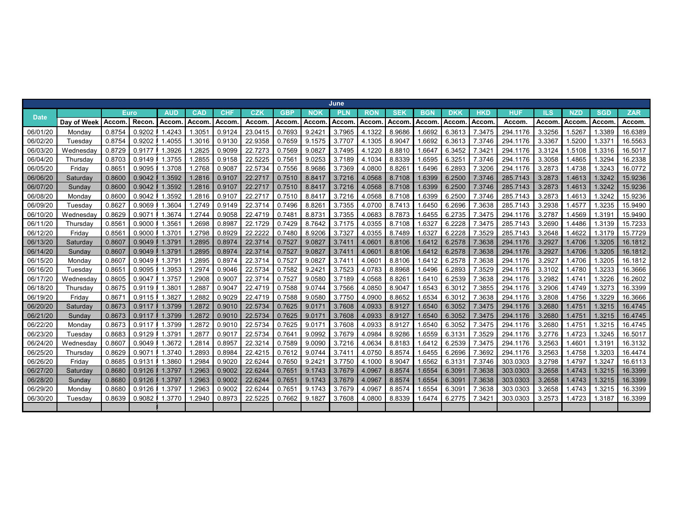|             |                 |              |             |            |                    |            |         |            |            | June       |              |            |            |            |            |            |        |              |            |            |
|-------------|-----------------|--------------|-------------|------------|--------------------|------------|---------|------------|------------|------------|--------------|------------|------------|------------|------------|------------|--------|--------------|------------|------------|
| <b>Date</b> |                 |              | <b>Euro</b> | <b>AUD</b> | <b>CAD</b>         | <b>CHF</b> | CZK     | <b>GBP</b> | <b>NOK</b> | <b>PLN</b> | <b>RON</b>   | <b>SEK</b> | <b>BGN</b> | <b>DKK</b> | <b>HKD</b> | <b>HUF</b> | ΙLS    | <b>NZD</b>   | <b>SGD</b> | <b>ZAR</b> |
|             | Day of Week     | <b>Accom</b> | Recon       | Accom      | Accom              | Accom      | Accom   | Accom      | Accom      | Accom      | <b>Accom</b> | Accom      | Accom      | Accom      | Accom.     | Accom.     | Accom  | <b>Accom</b> | Accom      | Accom.     |
| 06/01/20    | Monday          | 0.8754       | 0.9202      | 1.4243     | 1.305 <sup>4</sup> | 0.9124     | 23.041  | 0.7693     | 9.2421     | 3.7965     | 4.1322       | 8.9686     | .6692      | 6.3613     | 7.3475     | 294.1176   | 3.3256 | 1.5267       | 1.3389     | 16.6389    |
| 06/02/20    | Tuesdav         | 0.8754       | 0.9202      | .4055      | 1.3016             | 0.9130     | 22.9358 | 0.7659     | 9.1575     | 3.7707     | 4.1305       | 8.9047     | .6692      | 6.3613     | 7.3746     | 294.1176   | 3.3367 | 1.5200       | .337'      | 16.5563    |
| 06/03/20    | Wednesday       | 0.8729       | 0.9177      | 1.3926     | .2825              | 0.9099     | 22.7273 | 0.7569     | 9.0827     | 3.7495     | 4.1220       | 8.8810     | 1.6647     | 6.3452     | 7.3421     | 294.1176   | 3.3124 | 1.5108       | 1.3316     | 16.5017    |
| 06/04/20    | Thursday        | 0.8703       | 0.9149      | 1.3755     | 1.2855             | 0.9158     | 22.5225 | 0.7561     | 9.0253     | 3.7189     | 4.1034       | 8.8339     | .6595      | 6.3251     | 7.3746     | 294.1176   | 3.3058 | 1.4865       | 1.3294     | 16.2338    |
| 06/05/20    | Fridav          | 0.865'       | 0.9095      | 1.3708     | 1.2768             | 0.9087     | 22.5734 | 0.7556     | 8.9686     | 3.7369     | 4.0800       | 8.8261     | 1.6496     | 6.2893     | 7.3206     | 294.1176   | 3.2873 | 1.4738       | 1.3243     | 16.0772    |
| 06/06/20    | Saturday        | 0.8600       | 0.9042      | 1.3592     | 1.2816             | 0.9107     | 22.271  | 0.7510     | 8.8417     | 3.7216     | 4.0568       | 8.7108     | 1.6399     | 6.2500     | 7.3746     | 285.7143   | 3.2873 | 1.4613       | 1.3242     | 15.9236    |
| 06/07/20    | Sunday          | 0.8600       | 0.9042      | 1.3592     | 1.2816             | 0.9107     | 22.271  | 0.7510     | 8.8417     | 3.7216     | 4.0568       | 8.7108     | 1.6399     | 6.2500     | 7.3746     | 285.7143   | 3.2873 | 1.4613       | 1.3242     | 15.9236    |
| 06/08/20    | Mondav          | 0.8600       | 0.9042      | 1.3592     | 1.2816             | 0.9107     | 22.271  | 0.7510     | 8.8417     | 3.7216     | 4.0568       | 8.7108     | 1.6399     | 6.2500     | 7.3746     | 285.7143   | 3.2873 | 1.4613       | 1.3242     | 15.9236    |
| 06/09/20    | Tuesday         | 0.8627       | 0.9069      | .3604      | 1.2749             | 0.9149     | 22.3714 | 0.7496     | 8.8261     | 3.7355     | 4.0700       | 8.7413     | .6450      | 6.2696     | 7.3638     | 285.7143   | 3.2938 | 1.4577       | .3235      | 15.9490    |
| 06/10/20    | Wednesday       | 0.8629       | 0.9071      | 1.3674     | 1.2744             | 0.9058     | 22.4719 | 0.7481     | 8.8731     | 3.7355     | 4.0683       | 8.7873     | 1.6455     | 6.2735     | 7.3475     | 294.1176   | 3.2787 | 1.4569       | 1.319'     | 15.9490    |
| 06/11/20    | Thursday        | 0.856'       | 0.9000      | 1.3561     | 1.2698             | 0.8987     | 22.1729 | 0.7429     | 8.7642     | 3.7175     | 4.0355       | 8.7108     | 1.632      | 6.2228     | 7.3475     | 285.7143   | 3.2690 | 1.4486       | 1.3139     | 15.7233    |
| 06/12/20    | Fridav          | 0.856'       | 0.9000      | 1.3701     | 1.2798             | 0.8929     | 22.222  | 0.7480     | 8.9206     | 3.7327     | 4.0355       | 8.7489     | 1.632      | 6.2228     | 7.3529     | 285.7143   | 3.2648 | 1.4622       | 1.3179     | 15.7729    |
| 06/13/20    | Saturday        | 0.8607       | 0.9049      | 1.3791     | 1.2895             | 0.8974     | 22.3714 | 0.7527     | 9.0827     | 3.7411     | 4.0601       | 8.8106     | 1.6412     | 6.2578     | 7.3638     | 294.1176   | 3.2927 | 1.4706       | 1.3205     | 16.1812    |
| 06/14/20    | Sunday          | 0.8607       | 0.9049      | 1.3791     | 1.2895             | 0.8974     | 22.3714 | 0.7527     | 9.0827     | 3.7411     | 4.0601       | 8.8106     | 1.6412     | 6.2578     | 7.3638     | 294.1176   | 3.2927 | 1.4706       | 1.3205     | 16.1812    |
| 06/15/20    | Mondav          | 0.8607       | 0.9049      | 1.3791     | 1.2895             | 0.8974     | 22.3714 | 0.7527     | 9.0827     | 3.741      | 4.0601       | 8.8106     | 1.6412     | 6.2578     | 7.3638     | 294.1176   | 3.2927 | 1.4706       | 1.3205     | 16.1812    |
| 06/16/20    | Tuesday         | 0.865'       | 0.9095      | 1.3953     | 1.2974             | 0.9046     | 22.5734 | 0.7582     | 9.2421     | 3.7523     | 4.0783       | 8.8968     | 1.6496     | 6.2893     | 7.3529     | 294.1176   | 3.3102 | 1.4780       | 1.3233     | 16.3666    |
| 06/17/20    | Wednesdav       | 0.8605       | 0.9047      | 1.3757     | 1.2908             | 0.9007     | 22.3714 | 0.7527     | 9.0580     | 3.7189     | 4.0568       | 8.8261     | 1.6410     | 6.2539     | 7.3638     | 294.1176   | 3.2982 | 1.4741       | 1.3226     | 16.2602    |
| 06/18/20    | Thursdav        | 0.8675       | 0.9119      | 1.3801     | .2887              | 0.9047     | 22.4719 | 0.7588     | 9.0744     | 3.7566     | 4.0850       | 8.9047     | 1.6543     | 6.3012     | 7.3855     | 294.1176   | 3.2906 | 1.4749       | .3273      | 16.3399    |
| 06/19/20    | Fridav          | 0.867        | 0.9115      | .3827      | 1.2882             | 0.9029     | 22.4719 | 0.7588     | 9.0580     | 3.7750     | 4.0900       | 8.8652     | .6534      | 6.3012     | 7.3638     | 294.1176   | 3.2808 | 1.4756       | .3229      | 16.3666    |
| 06/20/20    | Saturday        | 0.8673       | 0.9117      | 1.3799     | 1.2872             | 0.9010     | 22.5734 | 0.7625     | 9.0171     | 3.7608     | 4.0933       | 8.9127     | 1.6540     | 6.3052     | 7.3475     | 294.1176   | 3.2680 | 1.4751       | 1.3215     | 16.4745    |
| 06/21/20    | Sunday          | 0.8673       | 0.9117      | 1.3799     | 1.2872             | 0.9010     | 22.5734 | 0.7625     | 9.0171     | 3.7608     | 4.0933       | 8.9127     | 1.6540     | 6.3052     | 7.3475     | 294.1176   | 3.2680 | 1.4751       | 1.3215     | 16.4745    |
| 06/22/20    | Monday          | 0.8673       | 0.9117      | 1.3799     | 1.2872             | 0.9010     | 22.5734 | 0.7625     | 9.0171     | 3.7608     | 4.0933       | 8.9127     | 1.6540     | 6.3052     | 7.3475     | 294.1176   | 3.2680 | 1.4751       | 1.3215     | 16.4745    |
| 06/23/20    | Tuesdav         | 0.8683       | 0.9129      | 1.3791     | .2877              | 0.901      | 22.5734 | 0.7641     | 9.0992     | 3.7679     | 4.0984       | 8.9286     | .6559      | 6.3131     | 7.3529     | 294.1176   | 3.2776 | 1.4723       | .3245      | 16.5017    |
| 06/24/20    | Wednesday       | 0.8607       | 0.9049      | .3672      | 1.2814             | 0.8957     | 22.3214 | 0.7589     | 9.0090     | 3.7216     | 4.0634       | 8.8183     | .6412      | 6.2539     | 7.3475     | 294.1176   | 3.2563 | 1.4601       | 1.3191     | 16.3132    |
| 06/25/20    | Thursdav        | 0.8629       | 0.9071      | 1.3740     | .2893              | 0.8984     | 22.4215 | 0.7612     | 9.0744     | 3.7411     | 4.0750       | 8.8574     | 1.6455     | 6.2696     | 7.3692     | 294.1176   | 3.2563 | 1.4758       | .3203      | 16.4474    |
| 06/26/20    | Friday          | 0.8685       | 0.9131      | 1.3860     | 1.2984             | 0.9020     | 22.6244 | 0.7650     | 9.2421     | 3.7750     | 4.1000       | 8.9047     | 1.6562     | 6.3131     | 7.3746     | 303.0303   | 3.2798 | 1.4797       | 1.3247     | 16.6113    |
| 06/27/20    | <b>Saturday</b> | 0.8680       | 0.9126      | 1.3797     | 1.2963             | 0.9002     | 22.6244 | 0.7651     | 9.1743     | 3.7679     | 4.0967       | 8.8574     | 1.6554     | 6.3091     | 7.3638     | 303.0303   | 3.2658 | 1.4743       | 1.3215     | 16.3399    |
| 06/28/20    | Sunday          | 0.8680       | 0.9126      | 1.3797     | 1.2963             | 0.9002     | 22.6244 | 0.7651     | 9.1743     | 3.7679     | 4.0967       | 8.8574     | 1.6554     | 6.3091     | 7.3638     | 303.0303   | 3.2658 | 1.4743       | 1.3215     | 16.3399    |
| 06/29/20    | Mondav          | 0.8680       | 0.9126      | .3797      | .2963              | 0.9002     | 22.6244 | 0.7651     | 9.1743     | 3.7679     | 4.0967       | 8.8574     | .6554      | 6.3091     | 7.3638     | 303.0303   | 3.2658 | 1.4743       | 1.3215     | 16.3399    |
| 06/30/20    | Tuesday         | 0.8639       | 0.9082      | .3770      | 1.2940             | 0.8973     | 22.522  | 0.7662     | 9.1827     | 3.7608     | 4.0800       | 8.8339     | .6474      | 6.2775     | 7.342      | 303.0303   | 3.2573 | 1.4723       | 1.3187     | 16.3399    |
|             |                 |              |             |            |                    |            |         |            |            |            |              |            |            |            |            |            |        |              |            |            |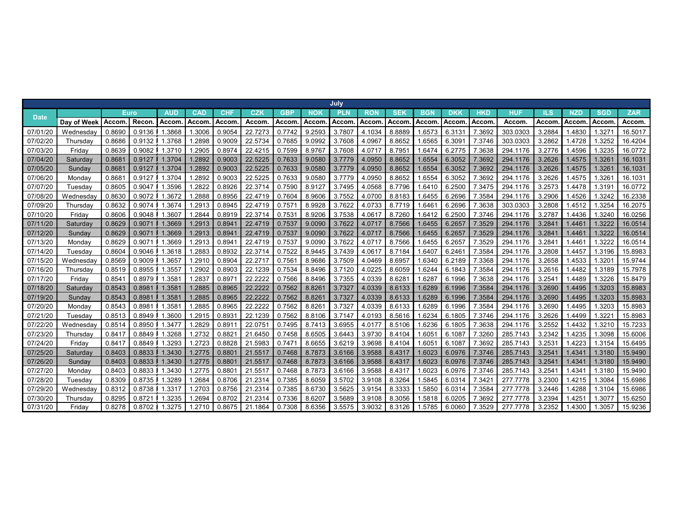|             |             |        |        |            |            |                 |         |            |        | July       |            |            |            |            |            |          |        |            |              |            |
|-------------|-------------|--------|--------|------------|------------|-----------------|---------|------------|--------|------------|------------|------------|------------|------------|------------|----------|--------|------------|--------------|------------|
| <b>Date</b> |             |        | Euro   | <b>AUD</b> | <b>CAD</b> | <b>CHF</b>      | CZK     | <b>GBP</b> | NOK    | <b>PLN</b> | <b>RON</b> | <b>SEK</b> | <b>BGN</b> | <b>DKK</b> | <b>HKD</b> | HUF      | ILS    | <b>NZD</b> | <b>SGD</b>   | <b>ZAR</b> |
|             | Day of Week | Accom  | Recon  | Accom      | Accom      | Accom           | Accom   | Accom      | Accom  | Accom      | Accom      | Accom      | Accom      | Accom      | Accom      | Accom    | Accom  | Accom      | <b>Accom</b> | Accom.     |
| 07/01/20    | Wednesday   | 0.8690 | 0.9136 | .3868      | .3006      | 0.9054          | 22.7273 | 0.7742     | 9.2593 | 3.7807     | 4.1034     | 8.8889     | .6573      | 6.3131     | 7.3692     | 303.0303 | 3.2884 | 1.4830     | 1.327'       | 16.5017    |
| 07/02/20    | Thursday    | 0.8686 | 0.9132 | .3768      | .2898      | 0.9009          | 22.5734 | 0.7685     | 9.0992 | 3.7608     | 4.0967     | 8.8652     | .6565      | 6.309'     | 7.3746     | 303.0303 | 3.2862 | 1.4728     | 1.3252       | 16.4204    |
| 07/03/20    | Friday      | 0.8639 | 0.9082 | 1.3710     | .2905      | 0.8974          | 22.4215 | 0.7599     | 8.9767 | 3.7608     | 4.0717     | 8.7951     | 1.6474     | 6.2775     | 7.3638     | 294.1176 | 3.2776 | 1.4596     | 1.3235       | 16.0772    |
| 07/04/20    | Saturday    | 0.868  | 0.9127 | 1.3704     | 1.2892     | 0.9003          | 22.5225 | 0.7633     | 9.0580 | 3.7779     | 4.0950     | 8.8652     | 1.6554     | 6.3052     | 7.3692     | 294.1176 | 3.2626 | 1.4575     | 1.326'       | 16.1031    |
| 07/05/20    | Sunday      | 0.868' | 0.9127 | 1.3704     | 1.2892     | 0.9003          | 22.5225 | 0.7633     | 9.0580 | 3.7779     | 4.0950     | 8.8652     | 1.6554     | 6.3052     | 7.3692     | 294.1176 | 3.2626 | 1.4575     | 1.326'       | 16.1031    |
| 07/06/20    | Monday      | 0.868' | 0.9127 | 1.3704     | .2892      | 0.9003          | 22.522  | 0.7633     | 9.0580 | 3.7779     | 4.0950     | 8.8652     | .6554      | 6.3052     | 7.3692     | 294.1176 | 3.2626 | 1.4575     | 1.326        | 16.1031    |
| 07/07/20    | Tuesday     | 0.8605 | 0.9047 | .3596      | .2822      | 0.8926          | 22.3714 | 0.7590     | 8.9127 | 3.7495     | 4.0568     | 8.7796     | .6410      | 6.2500     | 7.3475     | 294.1176 | 3.2573 | 4478.      | 1.319'       | 16.0772    |
| 07/08/20    | Wednesday   | 0.8630 | 0.9072 | .3672      | .2888      | 0.8956          | 22.4719 | 0.7604     | 8.9606 | 3.7552     | 4.0700     | 8.8183     | .6455      | 6.2696     | 7.3584     | 294.1176 | 3.2906 | 1.4526     | 1.3242       | 16.2338    |
| 07/09/20    | Thursday    | 0.8632 | 0.9074 | .3674      | .2913      | 0.8945          | 22.4719 | 0.7571     | 8.9928 | 3.7622     | 4.0733     | 8.7719     | .646'      | 6.2696     | 7.3638     | 303.0303 | 3.2808 | .4512      | 1.3254       | 16.2075    |
| 07/10/20    | Fridav      | 0.8606 | 0.9048 | .3607      | .2844      | 0.8919          | 22.3714 | 0.7531     | 8.9206 | 3.7538     | 4.0617     | 8.7260     | .6412      | 6.2500     | 7.3746     | 294.1176 | 3.2787 | 1.4436     | 1.3240       | 16.0256    |
| 07/11/20    | Saturday    | 0.8629 | 0.9071 | 1.3669     | 1.2913     | 0.894           | 22.4719 | 0.7537     | 9.0090 | 3.7622     | 4.0717     | 8.7566     | 1.6455     | 6.2657     | 7.3529     | 294.1176 | 3.2841 | 1.446'     | 1.3222       | 16.0514    |
| 07/12/20    | Sunday      | 0.8629 | 0.907  | 1.3669     | 1.2913     | 0.894           | 22.4719 | 0.7537     | 9.0090 | 3.7622     | 4.0717     | 8.7566     | 1.6455     | 6.2657     | 7.3529     | 294.1176 | 3.2841 | 1.446'     | 1.3222       | 16.0514    |
| 07/13/20    | Monday      | 0.8629 | 0.9071 | 1.3669     | .2913      | 0.894'          | 22.4719 | 0.7537     | 9.0090 | 3.7622     | 4.0717     | 8.7566     | 1.6455     | 6.2657     | 7.3529     | 294.1176 | 3.2841 | 1.446'     | 1.3222       | 16.0514    |
| 07/14/20    | Tuesday     | 0.8604 | 0.9046 | .3618      | .2883      | 0.8932          | 22.3714 | 0.7522     | 8.9445 | 3.7439     | 4.0617     | 8.7184     | .6407      | 6.2461     | 7.3584     | 294.1176 | 3.2808 | 1.4457     | 1.3196       | 15.8983    |
| 07/15/20    | Wednesday   | 0.8569 | 0.9009 | .3657      | .2910      | 0.8904          | 22.271  | 0.7561     | 8.9686 | 3.7509     | 4.0469     | 8.6957     | 1.6340     | 6.2189     | 7.3368     | 294.1176 | 3.2658 | 1.4533     | 1.320        | 15.9744    |
| 07/16/20    | Thursday    | 0.8519 | 0.8955 | .3557      | .2902      | 0.8903          | 22.1239 | 0.7534     | 8.8496 | 3.7120     | 4.0225     | 8.6059     | .6244      | 6.1843     | 7.3584     | 294.1176 | 3.2616 | .4482      | 1.3189       | 15.7978    |
| 07/17/20    | Fridav      | 0.854  | 0.8979 | .3581      | .2837      | 0.897           | 22.222  | 0.7566     | 8.8496 | 3.7355     | 4.0339     | 8.6281     | .628       | 6.1996     | 7.3638     | 294.1176 | 3.2541 | .4489      | 1.3226       | 15.8479    |
| 07/18/20    | Saturday    | 0.8543 | 0.8981 | 1.3581     | 1.2885     | 0.8965          | 22.2222 | 0.7562     | 8.8261 | 3.7327     | 4.0339     | 8.6133     | 1.6289     | 6.1996     | 7.3584     | 294.1176 | 3.2690 | 1.4495     | 1.3203       | 15.8983    |
| 07/19/20    | Sunday      | 0.8543 | 0.8981 | 1.3581     | 1.2885     | 0.8965          | 22.2222 | 0.7562     | 8.8261 | 3.7327     | 4.0339     | 8.6133     | 1.6289     | 6.1996     | 7.3584     | 294.1176 | 3.2690 | 1.4495     | 1.3203       | 15.8983    |
| 07/20/20    | Monday      | 0.8543 | 0.8981 | 1.358'     | 1.2885     | 0.8965          | 22.2222 | 0.7562     | 8.826' | 3.7327     | 4.0339     | 8.6133     | 1.6289     | 6.1996     | 7.3584     | 294.1176 | 3.2690 | 1.4495     | 1.3203       | 15.8983    |
| 07/21/20    | Tuesday     | 0.8513 | 0.8949 | 1.3600     | .2915      | 0.893'          | 22.1239 | 0.7562     | 8.8106 | 3.714      | 4.0193     | 8.5616     | .6234      | 6.1805     | 7.3746     | 294.1176 | 3.2626 | 1.4499     | 1.322        | 15.8983    |
| 07/22/20    | Wednesday   | 0.8514 | 0.8950 | .3477      | .2829      | 0.891           | 22.075  | 0.7495     | 8.7413 | 3.6955     | 4.0177     | 8.5106     | .6236      | 6.1805     | 7.3638     | 294.1176 | 3.2552 | .4432      | 1.3210       | 15.7233    |
| 07/23/20    | Thursday    | 0.8417 | 0.8849 | .3268      | .2732      | 0.882           | 21.6450 | 0.7458     | 8.6505 | 3.6443     | 3.9730     | 8.4104     | .605       | 6.1087     | 7.3260     | 285.7143 | 3.2342 | .4235      | 1.3098       | 15.6006    |
| 07/24/20    | Fridav      | 0.841  | 0.8849 | .3293      | .2723      | 0.8828          | 21.598  | 0.7471     | 8.6655 | 3.6219     | 3.9698     | 8.4104     | .605'      | 6.1087     | 7.3692     | 285.7143 | 3.2531 | 1.4223     | 1.3154       | 15.6495    |
| 07/25/20    | Saturday    | 0.8403 | 0.8833 | 1.3430     | 1.2775     | 0.880'          | 21.551  | 0.7468     | 8.7873 | 3.6166     | 3.9588     | 8.4317     | 1.6023     | 6.0976     | 7.3746     | 285.7143 | 3.2541 | 1.4341     | 1.3180       | 15.9490    |
| 07/26/20    | Sunday      | 0.8403 | 0.8833 | 1.3430     | 1.2775     | 0.880           | 21.551  | 0.7468     | 8.7873 | 3.6166     | 3.9588     | 8.4317     | 1.6023     | 6.0976     | 7.3746     | 285.7143 | 3.2541 | 1.434'     | 1.3180       | 15.9490    |
| 07/27/20    | Monday      | 0.8403 | 0.8833 | .3430      | .2775      | $0.880^{\circ}$ | 21.551  | 0.7468     | 8.7873 | 3.6166     | 3.9588     | 8.4317     | 1.6023     | 6.0976     | 7.3746     | 285.7143 | 3.2541 | 1.434'     | 1.3180       | 15.9490    |
| 07/28/20    | Tuesday     | 0.8309 | 0.8735 | .3289      | .2684      | 0.8706          | 21.231  | 0.7385     | 8.6059 | 3.5702     | 3.9108     | 8.3264     | .5845      | 6.0314     | 7.342'     | 277.7778 | 3.2300 | 1.4215     | 1.3084       | 15.6986    |
| 07/29/20    | Wednesday   | 0.8312 | 0.8738 | .3317      | .2703      | 0.8756          | 21.2314 | 0.7385     | 8.6730 | 3.5625     | 3.9154     | 8.3333     | .5850      | 6.0314     | 7.3584     | 277,7778 | 3.2446 | .4288      | 1.3104       | 15.6986    |
| 07/30/20    | Thursday    | 0.8295 | 0.8721 | .3235      | .2694      | 0.8702          | 21.2314 | 0.7336     | 8.6207 | 3.5689     | 3.9108     | 8.3056     | .5818      | 6.0205     | 7.3692     | 277.7778 | 3.2394 | .425'      | 1.3077       | 15.6250    |
| 07/31/20    | Friday      | 0.8278 | 0.8702 | .3275      | 1.2710     | 0.8675          | 21.1864 | 0.7308     | 8.6356 | 3.5575     | 3.9032     | 8.3126     | 1.5785     | 6.0060     | 7.3529     | 277.7778 | 3.2352 | 1.4300     | 1.3057       | 15.9236    |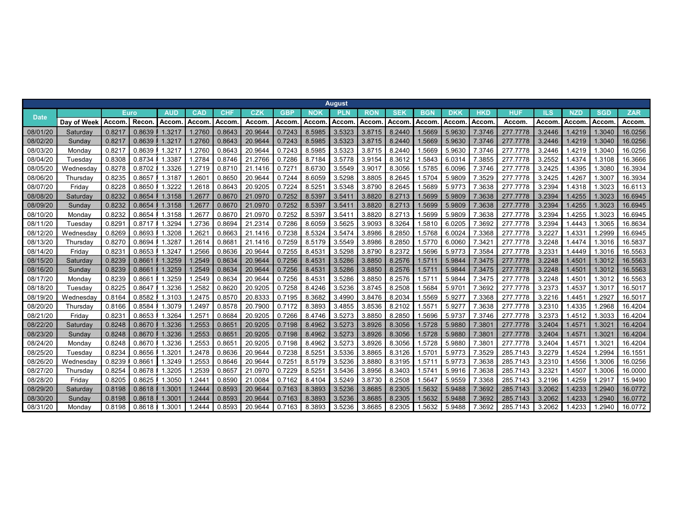|             |                 |        |             |                    |                 |            |         |            |        | <b>August</b> |            |            |            |              |                    |          |        |            |                    |            |
|-------------|-----------------|--------|-------------|--------------------|-----------------|------------|---------|------------|--------|---------------|------------|------------|------------|--------------|--------------------|----------|--------|------------|--------------------|------------|
| <b>Date</b> |                 |        | <b>Euro</b> | <b>AUD</b>         | <b>CAD</b>      | <b>CHF</b> | CZK     | <b>GBP</b> | NOK    | <b>PLN</b>    | <b>RON</b> | <b>SEK</b> | <b>BGN</b> | <b>DKK</b>   | HKD                | HUF      | ILS    | <b>NZD</b> | <b>SGD</b>         | <b>ZAR</b> |
|             | Day of Week     | Accom  | Recon       | Accom              | Accom           | Accom      | Accom   | Accom      | Accom  | Accom         | Accom      | Accom      | Accom      | <b>Accom</b> | Accom              | Accom    | Accom. | Accom      | Accom              | Accom.     |
| 08/01/20    | <b>Saturday</b> | 0.821  | 0.8639      | 1.3217             | 1.2760          | 0.8643     | 20.9644 | 0.7243     | 8.5985 | 3.5323        | 3.8715     | 8.2440     | 1.5669     | 5.9630       | 7.3746             | 277,7778 | 3.2446 | 1.4219     | .3040              | 16.0256    |
| 08/02/20    | Sunday          | 0.8217 | 0.8639      | 1.3217             | 1.2760          | 0.8643     | 20.9644 | 0.7243     | 8.5985 | 3.5323        | 3.8715     | 8.2440     | 1.5669     | 5.9630       | 7.3746             | 277.7778 | 3.2446 | 1.4219     | .3040              | 16.0256    |
| 08/03/20    | Monday          | 0.8217 | 0.8639      | .3217              | .2760           | 0.8643     | 20.9644 | 0.7243     | 8.5985 | 3.5323        | 3.8715     | 8.2440     | .5669      | 5.9630       | 7.3746             | 277,7778 | 3.2446 | 1.4219     | .3040              | 16.0256    |
| 08/04/20    | Tuesday         | 0.8308 | 0.8734      | .3387              | .2784           | 0.8746     | 21.2766 | 0.7286     | 8.7184 | 3.5778        | 3.9154     | 8.3612     | .5843      | 6.0314       | 7.3855             | 277.7778 | 3.2552 | 1.4374     | .3108              | 16.3666    |
| 08/05/20    | Wednesdav       | 0.8278 | 0.8702      | 1.3326             | 1.2719          | 0.8710     | 21.1416 | 0.727'     | 8.6730 | 3.5549        | 3.9017     | 8.3056     | .5785      | 6.0096       | 7.3746             | 277,7778 | 3.2425 | 1.4395     | .3080              | 16.3934    |
| 08/06/20    | Thursday        | 0.8235 | 0.8657      | 1.3187             | $1.260^{\circ}$ | 0.8650     | 20.9644 | 0.7244     | 8.6059 | 3.5298        | 3.8805     | 8.2645     | .5704      | 5.9809       | 7.3529             | 277.7778 | 3.2425 | 1.4267     | .3007              | 16.3934    |
| 08/07/20    | Fridav          | 0.8228 | 0.8650      | .3222              | 1.2618          | 0.8643     | 20.9205 | 0.7224     | 8.525' | 3.5348        | 3.8790     | 8.2645     | .5689      | 5.9773       | 7.3638             | 277.7778 | 3.2394 | 1.4318     | .3023              | 16.6113    |
| 08/08/20    | Saturday        | 0.8232 | 0.8654      | 1.3158             | 1.2677          | 0.8670     | 21.0970 | 0.7252     | 8.5397 | 3.5411        | 3.8820     | 8.2713     | 1.5699     | 5.9809       | 7.3638             | 277.7778 | 3.2394 | 1.4255     | .3023              | 16.6945    |
| 08/09/20    | Sunday          | 0.8232 | 0.8654      | 1.3158             | 1.267           | 0.8670     | 21.097  | 0.7252     | 8.5397 | 3.5411        | 3.8820     | 8.2713     | 1.5699     | 5.9809       | 7.3638             | 277,7778 | 3.2394 | 1.4255     | .3023              | 16.6945    |
| 08/10/20    | Mondav          | 0.8232 | 0.8654      | 1.3158             | .267            | 0.8670     | 21.0970 | 0.7252     | 8.5397 | 3.541         | 3.8820     | 8.2713     | .5699      | 5.9809       | 7.3638             | 277,7778 | 3.2394 | 1.4255     | .3023              | 16.6945    |
| 08/11/20    | Tuesdav         | 0.829  | 0.8717      | .3294              | .2736           | 0.8694     | 21.231  | 0.7286     | 8.6059 | 3.5625        | 3.9093     | 8.3264     | .5810      | 6.0205       | 7.3692             | 277.7778 | 3.2394 | 1.4443     | .3065              | 16.8634    |
| 08/12/20    | Wednesday       | 0.8269 | 0.8693      | .3208              | .262            | 0.8663     | 21.1416 | 0.7238     | 8.5324 | 3.5474        | 3.8986     | 8.2850     | .5768      | 6.0024       | 7.3368             | 277.7778 | 3.2227 | 1.4331     | .2999              | 16.6945    |
| 08/13/20    | Thursdav        | 0.8270 | 0.8694      | .3287              | .2614           | 0.868      | 21.1416 | 0.7259     | 8.5179 | 3.5549        | 3.8986     | 8.2850     | .5770      | 6.0060       | 7.342 <sup>2</sup> | 277,7778 | 3.2248 | 1.4474     | .3016              | 16.5837    |
| 08/14/20    | Fridav          | 0.823  | 0.8653      | .3247              | .2566           | 0.8636     | 20.9644 | 0.7255     | 8.4531 | 3.5298        | 3.8790     | 8.2372     | .5696      | 5.9773       | 7.3584             | 277.7778 | 3.2331 | 1.4449     | .3016              | 16.5563    |
| 08/15/20    | Saturda∖        | 0.8239 | 0.8661      | 1.3259             | 1.2549          | 0.8634     | 20.9644 | 0.7256     | 8.4531 | 3.5286        | 3.8850     | 8.2576     | 1.571      | 5.9844       | 7.3475             | 277,7778 | 3.2248 | 1.4501     | .3012              | 16.5563    |
| 08/16/20    | Sunday          | 0.8239 | 0.8661      | 1.3259             | 1.2549          | 0.8634     | 20.9644 | 0.7256     | 8.4531 | 3.5286        | 3.8850     | 8.2576     | 1.571      | 5.9844       | 7.3475             | 277.7778 | 3.2248 | 1.4501     | .3012              | 16.5563    |
| 08/17/20    | Monday          | 0.8239 | 0.8661      | .3259              | .2549           | 0.8634     | 20.9644 | 0.7256     | 8.453' | 3.5286        | 3.8850     | 8.2576     | .571       | 5.9844       | 7.3475             | 277,7778 | 3.2248 | 1.4501     | .3012              | 16.5563    |
| 08/18/20    | Tuesday         | 0.8225 | 0.8647      | .3236              | .2582           | 0.8620     | 20.9205 | 0.7258     | 8.4246 | 3.5236        | 3.8745     | 8.2508     | .5684      | 5.9701       | 7.3692             | 277.7778 | 3.2373 | 1.4537     | .3017              | 16.5017    |
| 08/19/20    | Wednesday       | 0.8164 | 0.8582      | .3103              | .2475           | 0.8570     | 20.8333 | 0.7195     | 8.3682 | 3.4990        | 3.8476     | 8.2034     | .5569      | 5.9277       | 7.3368             | 277,7778 | 3.2216 | 1.4451     | .2927              | 16.5017    |
| 08/20/20    | Thursdav        | 0.8166 | 0.8584      | .3079              | .2497           | 0.8578     | 20.7900 | 0.7172     | 8.3893 | 3.4855        | 3.8536     | 8.2102     | 1.557      | 5.9277       | 7.3638             | 277,7778 | 3.2310 | 1.4335     | .2968              | 16.4204    |
| 08/21/20    | Friday          | 0.823  | 0.8653      | .3264              | .257            | 0.8684     | 20.9205 | 0.7266     | 8.4746 | 3.5273        | 3.8850     | 8.2850     | .5696      | 5.9737       | 7.3746             | 277.7778 | 3.2373 | 1.4512     | .3033              | 16.4204    |
| 08/22/20    | Saturday        | 0.8248 | 0.8670      | .3236              | .2553           | 0.8651     | 20.9205 | 0.7198     | 8.4962 | 3.5273        | 3.8926     | 8.3056     | 1.5728     | 5.9880       | 7.3801             | 277.7778 | 3.2404 | 1.457'     | .302 <sup>7</sup>  | 16.4204    |
| 08/23/20    | Sunday          | 0.8248 | 0.8670      | .3236              | .2553           | 0.865'     | 20.9205 | 0.7198     | 8.4962 | 3.5273        | 3.8926     | 8.3056     | 1.5728     | 5.9880       | 7.380 <sup>4</sup> | 277.7778 | 3.2404 | 1.457'     | 1.302 <sup>1</sup> | 16.4204    |
| 08/24/20    | Monday          | 0.8248 | 0.8670      | .3236              | .2553           | 0.865      | 20.9205 | 0.7198     | 8.4962 | 3.5273        | 3.8926     | 8.3056     | .5728      | 5.9880       | 7.380              | 277.7778 | 3.2404 | 1.457      | .302               | 16.4204    |
| 08/25/20    | Tuesday         | 0.8234 | 0.8656      | .3201              | .2478           | 0.8636     | 20.9644 | 0.7238     | 8.525' | 3.5336        | 3.8865     | 8.3126     | 1.570'     | 5.9773       | 7.3529             | 285.7143 | 3.2279 | 1.4524     | .2994              | 16.1551    |
| 08/26/20    | Wednesday       | 0.8239 | 0.866       | 1.3249             | .2553           | 0.8646     | 20.9644 | 0.7251     | 8.5179 | 3.5236        | 3.8880     | 8.3195     | .571       | 5.9773       | 7.3638             | 285.7143 | 3.2310 | 1.4556     | .3006              | 16.0256    |
| 08/27/20    | Thursdav        | 0.8254 | 0.8678      | .3205              | .2539           | 0.8657     | 21.0970 | 0.7229     | 8.5251 | 3.5436        | 3.8956     | 8.3403     | 1.574      | 5.9916       | 7.3638             | 285.7143 | 3.2321 | 1.4507     | .3006              | 16.0000    |
| 08/28/20    | Friday          | 0.8205 | 0.8625      | .3050              | .244            | 0.8590     | 21.0084 | 0.7162     | 8.4104 | 3.5249        | 3.8730     | 8.2508     | .5647      | 5.9559       | 7.3368             | 285.7143 | 3.2196 | 1.4259     | .2917              | 15.9490    |
| 08/29/20    | Saturda∖        | 0.8198 | 0.8618      | .3001              | 1.2444          | 0.8593     | 20.9644 | 0.7163     | 8.3893 | 3.5236        | 3.8685     | 8.2305     | .5632      | 5.9488       | 7.3692             | 285.7143 | 3.2062 | 1.4233     | .2940              | 16.0772    |
| 08/30/20    | Sunday          | 0.8198 | 0.8618      | 1.3001             | 1.2444          | 0.8593     | 20.9644 | 0.7163     | 8.3893 | 3.5236        | 3.8685     | 8.2305     | 1.5632     | 5.9488       | 7.3692             | 285.7143 | 3.2062 | 1.4233     | .2940              | 16.0772    |
| 08/31/20    | Monday          | 0.8198 | 0.8618      | 1.300 <sup>4</sup> | 1.2444          | 0.8593     | 20.9644 | 0.7163     | 8.3893 | 3.5236        | 3.8685     | 8.2305     | 1.5632     | 5.9488       | 7.3692             | 285.7143 | 3.2062 | 1.4233     | .2940              | 16.0772    |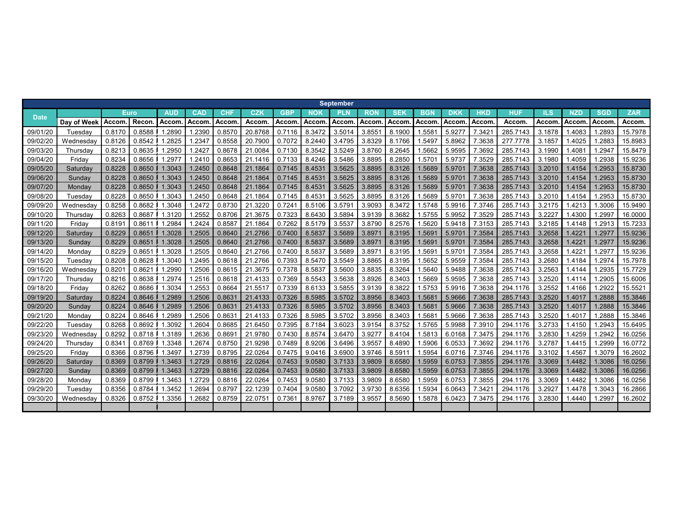|             |             |        |             |            |            |            |         |            |            | <b>September</b> |              |            |                 |            |            |            |        |              |            |            |
|-------------|-------------|--------|-------------|------------|------------|------------|---------|------------|------------|------------------|--------------|------------|-----------------|------------|------------|------------|--------|--------------|------------|------------|
| <b>Date</b> |             |        | <b>Euro</b> | <b>AUD</b> | <b>CAD</b> | <b>CHF</b> | CZK     | <b>GBP</b> | <b>NOK</b> | PLN              | <b>RON</b>   | <b>SEK</b> | <b>BGN</b>      | <b>DKK</b> | <b>HKD</b> | <b>HUF</b> | ILS    | <b>NZD</b>   | <b>SGD</b> | <b>ZAR</b> |
|             | Day of Week | Accom  | Recon       | Accom      | Accom      | Accom      | Accom   | Accom      | Accom      | <b>Accom</b>     | <b>Accom</b> | Accom      | Accom           | Accom      | Accom      | Accom      | Accom. | <b>Accom</b> | Accom      | Accom.     |
| 09/01/20    | Tuesday     | 0.8170 | 0.8588      | 1.2890     | .2390      | 0.8570     | 20.8768 | 0.7116     | 8.3472     | 3.5014           | 3.855'       | 8.1900     | 1.558           | 5.9277     | 7.342'     | 285.7143   | 3.1878 | 1.4083       | .2893      | 15.7978    |
| 09/02/20    | Wednesdav   | 0.8126 | 0.8542      | .2825      | .234       | 0.8558     | 20.7900 | 0.7072     | 8.2440     | 3.4795           | 3.8329       | 8.1766     | .5497           | 5.8962     | 7.3638     | 277.7778   | 3.1857 | 1.4025       | .2883      | 15.8983    |
| 09/03/20    | Thursday    | 0.8213 | 0.8635      | 1.2950     | 1.2427     | 0.8678     | 21.0084 | 0.7130     | 8.3542     | 3.5249           | 3.8760       | 8.2645     | .5662           | 5.9595     | 7.3692     | 285.7143   | 3.1990 | 1.4081       | .2947      | 15.8479    |
| 09/04/20    | Fridav      | 0.8234 | 0.8656      | .2977      | 1.2410     | 0.8653     | 21.1416 | 0.7133     | 8.4246     | 3.5486           | 3.8895       | 8.2850     | $1.570^{\circ}$ | 5.9737     | 7.3529     | 285.7143   | 3.1980 | 1.4059       | .2938      | 15.9236    |
| 09/05/20    | Saturday    | 0.8228 | 0.8650      | 1.3043     | 1.2450     | 0.8648     | 21.1864 | 0.7145     | 8.4531     | 3.5625           | 3.8895       | 8.3126     | 1.5689          | 5.9701     | 7.3638     | 285.7143   | 3.2010 | 1.4154       | .2953      | 15.8730    |
| 09/06/20    | Sunday      | 0.8228 | 0.8650      | 1.3043     | 1.2450     | 0.8648     | 21.1864 | 0.7145     | 8.4531     | 3.5625           | 3.8895       | 8.3126     | 1.5689          | 5.9701     | 7.3638     | 285.7143   | 3.2010 | 1.4154       | .2953      | 15.8730    |
| 09/07/20    | Monday      | 0.8228 | 0.8650      | 1.3043     | 1.2450     | 0.8648     | 21.1864 | 0.7145     | 8.4531     | 3.5625           | 3.8895       | 8.3126     | 1.5689          | 5.9701     | 7.3638     | 285.7143   | 3.2010 | 1.4154       | .2953      | 15.8730    |
| 09/08/20    | Tuesdav     | 0.8228 | 0.8650      | 1.3043     | 1.2450     | 0.8648     | 21.1864 | 0.7145     | 8.4531     | 3.5625           | 3.8895       | 8.3126     | 1.5689          | 5.9701     | 7.3638     | 285.7143   | 3.2010 | 1.4154       | .2953      | 15.8730    |
| 09/09/20    | Wednesday   | 0.8258 | 0.8682      | .3048      | 1.2472     | 0.8730     | 21.3220 | 0.7241     | 8.5106     | 3.579            | 3.9093       | 8.3472     | .5748           | 5.9916     | 7.3746     | 285.7143   | 3.2175 | 1.4213       | .3006      | 15.9490    |
| 09/10/20    | Thursday    | 0.8263 | 0.8687      | 1.3120     | .2552      | 0.8706     | 21.3675 | 0.7323     | 8.6430     | 3.5894           | 3.9139       | 8.3682     | 1.5755          | 5.9952     | 7.3529     | 285.7143   | 3.2227 | 1.4300       | .2997      | 16.0000    |
| 09/11/20    | Friday      | 0.819  | 0.8611      | 1.2984     | .2424      | 0.8587     | 21.1864 | 0.7262     | 8.5179     | 3.5537           | 3.8790       | 8.2576     | 1.562           | 5.9418     | 7.3153     | 285.7143   | 3.2185 | 1.4148       | .2913      | 15.7233    |
| 09/12/20    | Saturday    | 0.8229 | 0.8651      | 1.3028     | .2505      | 0.8640     | 21.2766 | 0.7400     | 8.5837     | 3.5689           | 3.8971       | 8.3195     | 1.5691          | 5.9701     | 7.3584     | 285.7143   | 3.2658 | 1.4221       | .2977      | 15.9236    |
| 09/13/20    | Sunday      | 0.8229 | 0.8651      | 1.3028     | 1.2505     | 0.8640     | 21.2766 | 0.7400     | 8.5837     | 3.5689           | 3.8971       | 8.3195     | 1.569           | 5.9701     | 7.3584     | 285.7143   | 3.2658 | 1.4221       | .2977      | 15.9236    |
| 09/14/20    | Monday      | 0.8229 | 0.8651      | 1.3028     | 1.2505     | 0.8640     | 21.2766 | 0.7400     | 8.5837     | 3.5689           | 3.8971       | 8.3195     | .569            | 5.9701     | 7.3584     | 285.7143   | 3.2658 | 1.4221       | .2977      | 15.9236    |
| 09/15/20    | Tuesdav     | 0.8208 | 0.8628      | 1.3040     | .2495      | 0.8618     | 21.2766 | 0.7393     | 8.5470     | 3.5549           | 3.8865       | 8.3195     | .5652           | 5.9559     | 7.3584     | 285.7143   | 3.2680 | 1.4184       | .2974      | 15.7978    |
| 09/16/20    | Wednesdav   | 0.820' | 0.8621      | 1.2990     | .2506      | 0.8615     | 21.3675 | 0.7378     | 8.5837     | 3.5600           | 3.8835       | 8.3264     | .5640           | 5.9488     | 7.3638     | 285.7143   | 3.2563 | 1.4144       | .2935      | 15.7729    |
| 09/17/20    | Thursdav    | 0.8216 | 0.8638      | .2974      | .2516      | 0.8618     | 21.4133 | 0.7369     | 8.5543     | 3.5638           | 3.8926       | 8.3403     | .5669           | 5.9595     | 7.3638     | 285.7143   | 3.2520 | 1.4114       | .2905      | 15.6006    |
| 09/18/20    | Fridav      | 0.8262 | 0.8686      | 1.3034     | .2553      | 0.8664     | 21.551  | 0.7339     | 8.6133     | 3.5855           | 3.9139       | 8.3822     | 1.5753          | 5.9916     | 7.3638     | 294.1176   | 3.2552 | 1.4166       | .2922      | 15.5521    |
| 09/19/20    | Saturday    | 0.8224 | 0.8646      | .2989      | 1.2506     | 0.8631     | 21.4133 | 0.7326     | 8.5985     | 3.5702           | 3.8956       | 8.3403     | 1.5681          | 5.9666     | 7.3638     | 285.7143   | 3.2520 | 1.4017       | .2888      | 15.3846    |
| 09/20/20    | Sunday      | 0.8224 | 0.8646      | 1.2989     | 1.2506     | 0.8631     | 21.4133 | 0.7326     | 8.5985     | 3.5702           | 3.8956       | 8.3403     | 1.5681          | 5.9666     | 7.3638     | 285.7143   | 3.2520 | 1.4017       | .2888      | 15.3846    |
| 09/21/20    | Monday      | 0.8224 | 0.8646      | .2989      | .2506      | 0.863'     | 21.4133 | 0.7326     | 8.5985     | 3.5702           | 3.8956       | 8.3403     | 1.568           | 5.9666     | 7.3638     | 285.7143   | 3.2520 | 1.4017       | .2888      | 15.3846    |
| 09/22/20    | Tuesday     | 0.8268 | 0.8692      | .3092      | .2604      | 0.8685     | 21.6450 | 0.7395     | 8.7184     | 3.6023           | 3.9154       | 8.3752     | 1.5765          | 5.9988     | 7.3910     | 294.1176   | 3.2733 | 1.4150       | .2943      | 15.6495    |
| 09/23/20    | Wednesday   | 0.8292 | 0.8718      | 1.3189     | .2636      | 0.869'     | 21.9780 | 0.7430     | 8.8574     | 3.6470           | 3.9277       | 8.4104     | .5813           | 6.0168     | 7.3475     | 294.1176   | 3.2830 | 1.4259       | .2942      | 16.0256    |
| 09/24/20    | Thursday    | 0.834  | 0.8769      | 1.3348     | .2674      | 0.8750     | 21.9298 | 0.7489     | 8.9206     | 3.6496           | 3.9557       | 8.4890     | .5906           | 6.0533     | 7.3692     | 294.1176   | 3.2787 | 1.4415       | .2999      | 16.0772    |
| 09/25/20    | Fridav      | 0.8366 | 0.8796      | 1.3497     | 1.2739     | 0.8795     | 22.0264 | 0.7475     | 9.0416     | 3.6900           | 3.9746       | 8.591      | 1.5954          | 6.0716     | 7.3746     | 294.1176   | 3.3102 | 1.4567       | .3079      | 16.2602    |
| 09/26/20    | Saturday    | 0.8369 | 0.8799      | 1.3463     | 1.2729     | 0.8816     | 22.0264 | 0.7453     | 9.0580     | 3.7133           | 3.9809       | 8.6580     | 1.5959          | 6.0753     | 7.3855     | 294.1176   | 3.3069 | 1.4482       | 1.3086     | 16.0256    |
| 09/27/20    | Sundav      | 0.8369 | 0.8799      | 1.3463     | 1.2729     | 0.8816     | 22.0264 | 0.7453     | 9.0580     | 3.7133           | 3.9809       | 8.6580     | 1.5959          | 6.0753     | 7.3855     | 294.1176   | 3.3069 | 1.4482       | .3086      | 16.0256    |
| 09/28/20    | Monday      | 0.8369 | 0.8799      | 1.3463     | .2729      | 0.8816     | 22.0264 | 0.7453     | 9.0580     | 3.7133           | 3.9809       | 8.6580     | .5959           | 6.0753     | 7.3855     | 294.1176   | 3.3069 | 1.4482       | .3086      | 16.0256    |
| 09/29/20    | Tuesdav     | 0.8356 | 0.8784      | .3452      | .2694      | 0.8797     | 22.1239 | 0.7404     | 9.0580     | 3.7092           | 3.9730       | 8.6356     | .5934           | 6.0643     | 7.342'     | 294.1176   | 3.2927 | 1.4478       | .3043      | 16.2866    |
| 09/30/20    | Wednesday   | 0.8326 | 0.8752      | 1.3356     | .2682      | 0.8759     | 22.075  | 0.7361     | 8.9767     | 3.7189           | 3.9557       | 8.5690     | .5878           | 6.0423     | 7.3475     | 294.1176   | 3.2830 | 1.4440       | .2997      | 16.2602    |
|             |             |        |             |            |            |            |         |            |            |                  |              |            |                 |            |            |            |        |              |            |            |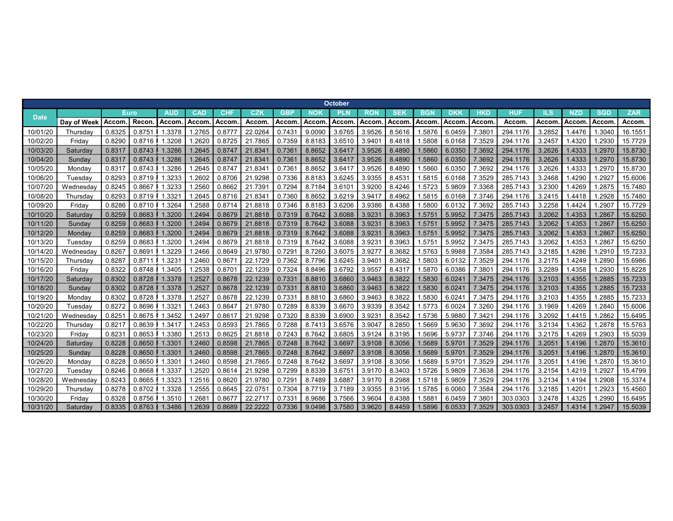|             |               |              |             |            |        |            |         |            |           | October    |            |            |            |            |            |          |        |              |            |            |
|-------------|---------------|--------------|-------------|------------|--------|------------|---------|------------|-----------|------------|------------|------------|------------|------------|------------|----------|--------|--------------|------------|------------|
| <b>Date</b> |               |              | <b>Euro</b> | <b>AUD</b> | CAD    | <b>CHF</b> | CZK     | <b>GBP</b> | <b>NO</b> | <b>PLN</b> | <b>RON</b> | <b>SEK</b> | <b>BGN</b> | <b>DKK</b> | <b>HKD</b> | HUF      | ILS    | <b>NZD</b>   | <b>SGD</b> | <b>ZAR</b> |
|             | Dav of Week   | <b>Accom</b> | Recor       | Accom      | Accom  | Accom      | Accom   | Accom      | Accom     | Accom      | Accom      | Accom      | Accom      | Accom      | Accom      | Accom    | Accom  | <b>Accom</b> | Accom      | Accom.     |
| 10/01/20    | Thursday      | 0.8325       | 0.875       | 1.3378     | .2765  | 0.877      | 22.0264 | 0.743      | 9.0090    | 3.6765     | 3.9526     | 8.5616     | .5876      | 6.0459     | 7.380      | 294.1176 | 3.2852 | 1.4476       | 1.3040     | 16.1551    |
| 10/02/20    | Fridav        | 0.8290       | 0.8716      | .3208      | .2620  | 0.8725     | 21.7865 | 0.7359     | 8.8183    | 3.6510     | 3.9401     | 8.4818     | .5808      | 6.0168     | 7.3529     | 294.1176 | 3.2457 | 1.4320       | .2930      | 15.7729    |
| 10/03/20    | Saturdav      | 0.8317       | 0.8743      | 1.3286     | .2645  | 0.8747     | 21.834  | 0.7361     | 8.8652    | 3.6417     | 3.9526     | 8.4890     | 1.5860     | 6.0350     | 7.3692     | 294.1176 | 3.2626 | 1.4333       | 1.2970     | 15.8730    |
| 10/04/20    | Sunday        | 0.8317       | 0.8743      | 1.3286     | .2645  | 0.8747     | 21.834  | 0.7361     | 8.8652    | 3.6417     | 3.9526     | 8.4890     | .5860      | 6.0350     | 7.3692     | 294.1176 | 3.2626 | 1.4333       | 1.2970     | 15.8730    |
| 10/05/20    | Monday        | 0.831        | 0.8743      | .3286      | .2645  | 0.874      | 21.834  | 0.736'     | 8.8652    | 3.6417     | 3.9526     | 8.4890     | .5860      | 6.0350     | 7.3692     | 294.1176 | 3.2626 | 1.4333       | 1.2970     | 15.8730    |
| 10/06/20    | Tuesda∖       | 0.8293       | 0.8719      | .3233      | .2602  | 0.8706     | 21.9298 | 0.7336     | 8.8183    | 3.6245     | 3.9355     | 8.4531     | .5815      | 6.0168     | 7.3529     | 285.7143 | 3.2468 | .4290        | .292       | 15.6006    |
| 10/07/20    | Wednesday     | 0.8245       | 0.8667      | .3233      | .2560  | 0.8662     | 21.739  | 0.7294     | 8.7184    | 3.6101     | 3.9200     | 8.4246     | .5723      | 5.9809     | 7.3368     | 285.7143 | 3.2300 | 1.4269       | 1.2875     | 15.7480    |
| 10/08/20    | Thursdav      | 0.8293       | 0.8719      | .3321      | .2645  | 0.8716     | 21.834  | 0.7360     | 8.8652    | 3.6219     | 3.9417     | 8.4962     | .5815      | 6.0168     | 7.3746     | 294.1176 | 3.2415 | 1.4418       | 1.2928     | 15.7480    |
| 10/09/20    | Fridav        | 0.8286       | 0.8710      | .3264      | .2588  | 0.8714     | 21.8818 | 0.7346     | 8.8183    | 3.6206     | 3.9386     | 8.4388     | .5800      | 6.0132     | 7.3692     | 285.7143 | 3.2258 | 1.4424       | .2907      | 15.7729    |
| 10/10/20    | Saturdav      | 0.8259       | 0.8683      | 1.3200     | .2494  | 0.8679     | 21.8818 | 0.7319     | 8.7642    | 3.6088     | 3.9231     | 8.3963     | 1.575      | 5.9952     | 7.3475     | 285.7143 | 3.2062 | 1.4353       | 1.2867     | 15.6250    |
| 10/11/20    | <b>Sunday</b> | 0.8259       | 0.8683      | 1.3200     | .2494  | 0.8679     | 21.8818 | 0.7319     | 8.7642    | 3.6088     | 3.9231     | 8.3963     | 1.575      | 5.9952     | 7.3475     | 285.7143 | 3.2062 | 1.4353       | 1.2867     | 15.6250    |
| 10/12/20    | <b>Monday</b> | 0.8259       | 0.8683      | 1.3200     | .2494  | 0.8679     | 21.8818 | 0.7319     | 8.7642    | 3.6088     | 3.9231     | 8.3963     | .575       | 5.9952     | 7.3475     | 285.7143 | 3.2062 | 1.4353       | 1.2867     | 15.6250    |
| 10/13/20    | Tuesday       | 0.8259       | 0.8683      | .3200      | .2494  | 0.8679     | 21.8818 | 0.7319     | 8.7642    | 3.6088     | 3.9231     | 8.3963     | .575       | 5.9952     | 7.3475     | 285.7143 | 3.2062 | 1.4353       | 1.286      | 15.6250    |
| 10/14/20    | Wednesday     | 0.8267       | 0.869       | .3229      | .2466  | 0.8649     | 21.9780 | 0.7291     | 8.7260    | 3.6075     | 3.9277     | 8.3682     | .5763      | 5.9988     | 7.3584     | 285.7143 | 3.2185 | .4286        | 1.2910     | 15.7233    |
| 10/15/20    | Thursda∖      | 0.8287       | 0.8711      | 1.3231     | .2460  | 0.867      | 22.1729 | 0.7362     | 8.7796    | 3.6245     | 3.9401     | 8.3682     | .5803      | 6.0132     | 7.3529     | 294.1176 | 3.2175 | 1.4249       | 1.2890     | 15.6986    |
| 10/16/20    | Friday        | 0.8322       | 0.8748      | .3405      | .2538  | 0.870      | 22.1239 | 0.7324     | 8.8496    | 3.6792     | 3.9557     | 8.4317     | .587(      | 6.0386     | 7.380      | 294.1176 | 3.2289 | 1.4358       | 1.2930     | 15.8228    |
| 10/17/20    | Saturdav      | 0.8302       | 0.8728      | 1.3378     | .252   | 0.8678     | 22.1239 | 0.7331     | 8.8810    | 3.6860     | 3.9463     | 8.3822     | .5830      | 6.0241     | 7.3475     | 294,1176 | 3.2103 | 1.4355       | 1.2885     | 15.7233    |
| 10/18/20    | Sunday        | 0.8302       | 0.8728      | 1.3378     | .252   | 0.8678     | 22.1239 | 0.7331     | 8.8810    | 3.6860     | 3.9463     | 8.3822     | 1.5830     | 6.0241     | 7.3475     | 294.1176 | 3.2103 | 1.4355       | 1.2885     | 15.7233    |
| 10/19/20    | Monday        | 0.8302       | 0.8728      | .3378      | .252   | 0.8678     | 22.1239 | 0.7331     | 8.8810    | 3.6860     | 3.9463     | 8.3822     | .5830      | 6.0241     | 7.3475     | 294.1176 | 3.2103 | 1.4355       | .2885      | 15.7233    |
| 10/20/20    | Tuesdav       | 0.8272       | 0.8696      | 1.3321     | .2463  | 0.864      | 21.9780 | 0.7289     | 8.8339    | 3.6670     | 3.9339     | 8.3542     | 1.5773     | 6.0024     | 7.3260     | 294.1176 | 3.1969 | 1.4269       | .2840      | 15.6006    |
| 10/21/20    | Wednesdav     | 0.825        | 0.8675      | .3452      | .249   | 0.861      | 21.9298 | 0.7320     | 8.8339    | 3.6900     | 3.9231     | 8.3542     | .5736      | 5.9880     | 7.342      | 294.1176 | 3.2092 | 1.4415       | .2862      | 15.6495    |
| 10/22/20    | Thursda∖      | 0.821        | 0.8639      | .3417      | .2453  | 0.8593     | 21.7865 | 0.7288     | 8.7413    | 3.6576     | 3.9047     | 8.2850     | .5669      | 5.9630     | 7.3692     | 294.1176 | 3.2134 | 1.4362       | 1.2878     | 15.5763    |
| 10/23/20    | Friday        | 0.823        | 0.8653      | .3380      | .2513  | 0.8625     | 21.8818 | 0.7243     | 8.7642    | 3.6805     | 3.9124     | 8.3195     | .5696      | 5.9737     | 7.3746     | 294.1176 | 3.2175 | 1.4269       | 1.2903     | 15.5039    |
| 10/24/20    | Saturday      | 0.8228       | 0.8650      | 1.3301     | .2460  | 0.8598     | 21.7865 | 0.7248     | 8.7642    | 3.6697     | 3.9108     | 8.3056     | .5689      | 5.9701     | 7.3529     | 294.1176 | 3.2051 | 1.4196       | 1.2870     | 15.3610    |
| 10/25/20    | Sunday        | 0.8228       | 0.8650      | 1.3301     | .2460  | 0.8598     | 21.7865 | 0.7248     | 8.7642    | 3.6697     | 3.9108     | 8.3056     | 1.5689     | 5.9701     | 7.3529     | 294.1176 | 3.2051 | 1.4196       | 1.2870     | 15.3610    |
| 10/26/20    | Monday        | 0.8228       | 0.8650      | .3301      | .2460  | 0.8598     | 21.7865 | 0.7248     | 8.7642    | 3.669      | 3.9108     | 8.3056     | .5689      | 5.9701     | 7.3529     | 294.1176 | 3.205' | 1.4196       | 1.2870     | 15.3610    |
| 10/27/20    | Tuesdav       | 0.8246       | 0.8668      | .3337      | .2520  | 0.8614     | 21.9298 | 0.7299     | 8.8339    | 3.675      | 3.9170     | 8.3403     | .5726      | 5.9809     | 7.3638     | 294.1176 | 3.2154 | 1.4219       | 1.292      | 15.4799    |
| 10/28/20    | Wednesday     | 0.8243       | 0.8665      | .3323      | .2516  | 0.8620     | 21.9780 | 0.7291     | 8.7489    | 3.688      | 3.9170     | 8.2988     | .5718      | 5.9809     | 7.3529     | 294.1176 | 3.2134 | 1.4194       | 1.2908     | 15.3374    |
| 10/29/20    | Thursdav      | 0.8278       | 0.8702      | .3328      | .2555  | 0.8645     | 22.075  | 0.7304     | 8.7719    | 3.7189     | 3.9355     | 8.3195     | .5785      | 6.0060     | 7.3584     | 294.1176 | 3.2185 | 1.420        | 1.2923     | 15.4560    |
| 10/30/20    | Fridav        | 0.8328       | 0.8756      | .3510      | .268   | 0.867      | 22.271  | 0.7331     | 8.9686    | 3.7566     | 3.9604     | 8.4388     | .588       | 6.0459     | 7.380      | 303.0303 | 3.2478 | 1.4325       | .2990      | 15.6495    |
| 10/31/20    | Saturday      | 0.8335       | 0.8763      | 1.3486     | 1.2639 | 0.8689     | 22.2222 | 0.7336     | 9.0498    | 3.7580     | 3.9620     | 8.4459     | 1.5896     | 6.0533     | 7.3529     | 303.0303 | 3.2457 | 1.4314       | 1.2947     | 15.5039    |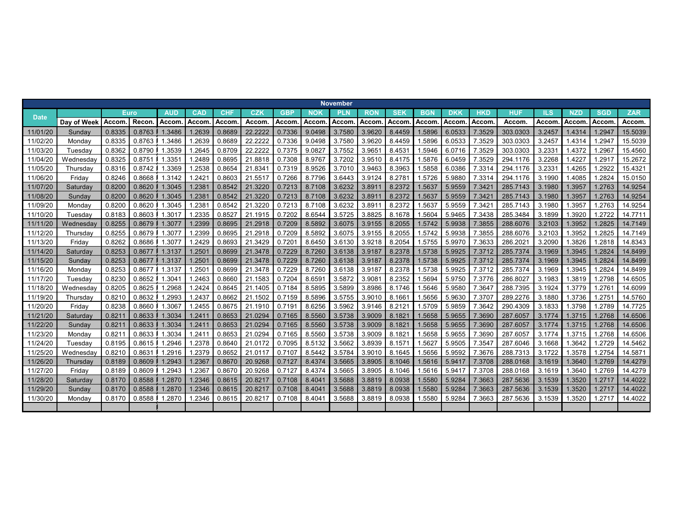|             |             |        |        |            |                    |            |         |            |              | <b>November</b> |            |              |            |            |            |          |        |              |            |            |
|-------------|-------------|--------|--------|------------|--------------------|------------|---------|------------|--------------|-----------------|------------|--------------|------------|------------|------------|----------|--------|--------------|------------|------------|
| <b>Date</b> |             |        | Euro   | <b>AUD</b> | <b>CAD</b>         | <b>CHF</b> | CZK     | <b>GBP</b> | <b>NOK</b>   | <b>PLN</b>      | <b>RON</b> | <b>SEK</b>   | <b>BGN</b> | <b>DKK</b> | <b>HKD</b> | HUF      | ILS    | <b>NZD</b>   | <b>SGD</b> | <b>ZAR</b> |
|             | Day of Week | Accom. | Recon. | Accom      | <b>Accom</b>       | Accom      | Accom   | Accom      | <b>Accom</b> | Accom           | Accom      | <b>Accom</b> | Accom      | Accom.     | Accom      | Accom    | Accom  | <b>Accom</b> | Accom      | Accom.     |
| 11/01/20    | Sundav      | 0.8335 | 0.8763 | 1.3486     | 1.2639             | 0.8689     | 22.222  | 0.7336     | 9.0498       | 3.7580          | 3.9620     | 8.4459       | 1.5896     | 6.0533     | 7.3529     | 303.0303 | 3.2457 | 1.4314       | .2947      | 15.5039    |
| 11/02/20    | Mondav      | 0.8335 | 0.8763 | .3486      | 1.2639             | 0.8689     | 22.222  | 0.7336     | 9.0498       | 3.7580          | 3.9620     | 8.4459       | 1.5896     | 6.0533     | 7.3529     | 303.0303 | 3.2457 | 1.4314       | .2947      | 15.5039    |
| 11/03/20    | Tuesdav     | 0.8362 | 0.8790 | .3539      | 1.2645             | 0.8709     | 22.222  | 0.7375     | 9.0827       | 3.7552          | 3.9651     | 8.4531       | 1.5946     | 6.0716     | 7.3529     | 303.0303 | 3.2331 | 1.4372       | .2967      | 15.4560    |
| 11/04/20    | Wednesday   | 0.8325 | 0.8751 | .3351      | 1.2489             | 0.8695     | 21.8818 | 0.7308     | 8.9767       | 3.7202          | 3.9510     | 8.4175       | .5876      | 6.0459     | 7.3529     | 294.1176 | 3.2268 | .4227        | .2917      | 15.2672    |
| 11/05/20    | Thursdav    | 0.8316 | 0.8742 | .3369      | 1.2538             | 0.8654     | 21.834  | 0.7319     | 8.9526       | 3.7010          | 3.9463     | 8.3963       | 1.5858     | 6.0386     | 7.3314     | 294.1176 | 3.2331 | 1.4265       | .2922      | 15.4321    |
| 11/06/20    | Fridav      | 0.8246 | 0.8668 | 1.3142     | 1.242              | 0.8603     | 21.5517 | 0.7266     | 8.7796       | 3.6443          | 3.9124     | 8.2781       | 1.5726     | 5.9880     | 7.3314     | 294.1176 | 3.1990 | 1.4085       | .2824      | 15.0150    |
| 11/07/20    | Saturday    | 0.8200 | 0.8620 | 1.3045     | 1.238'             | 0.8542     | 21.3220 | 0.7213     | 8.7108       | 3.6232          | 3.8911     | 8.2372       | 1.5637     | 5.9559     | 7.342'     | 285.7143 | 3.1980 | 1.3957       | .2763      | 14.9254    |
| 11/08/20    | Sunday      | 0.8200 | 0.8620 | 1.3045     | 1.238'             | 0.8542     | 21.3220 | 0.7213     | 8.7108       | 3.6232          | 3.8911     | 8.2372       | 1.5637     | 5.9559     | 7.342'     | 285.7143 | 3.1980 | 1.3957       | .2763      | 14.9254    |
| 11/09/20    | Mondav      | 0.8200 | 0.8620 | 1.3045     | 1.238'             | 0.8542     | 21.3220 | 0.7213     | 8.7108       | 3.6232          | 3.8911     | 8.2372       | 1.5637     | 5.9559     | 7.342'     | 285.7143 | 3.1980 | 1.3957       | .2763      | 14.9254    |
| 11/10/20    | Tuesdav     | 0.8183 | 0.8603 | 1.3017     | 1.2335             | 0.8527     | 21.1915 | 0.7202     | 8.6544       | 3.5725          | 3.8825     | 8.1678       | 1.5604     | 5.9465     | 7.3438     | 285.3484 | 3.1899 | 1.3920       | .2722      | 14.7711    |
| 11/11/20    | Wednesdav   | 0.8255 | 0.8679 | 1.3077     | 1.2399             | 0.8695     | 21.2918 | 0.7209     | 8.5892       | 3.6075          | 3.9155     | 8.2055       | 1.5742     | 5.9938     | 7.3855     | 288.6076 | 3.2103 | 1.3952       | .2825      | 14.7149    |
| 11/12/20    | Thursday    | 0.8255 | 0.8679 | 1.3077     | 1.2399             | 0.8695     | 21.2918 | 0.7209     | 8.5892       | 3.6075          | 3.9155     | 8.2055       | 1.5742     | 5.9938     | 7.3855     | 288.6076 | 3.2103 | 1.3952       | .2825      | 14.7149    |
| 11/13/20    | Fridav      | 0.8262 | 0.8686 | 1.3077     | 1.2429             | 0.8693     | 21.3429 | 0.7201     | 8.6450       | 3.6130          | 3.9218     | 8.2054       | 1.5755     | 5.9970     | 7.3633     | 286.202  | 3.2090 | 1.3826       | .2818      | 14.8343    |
| 11/14/20    | Saturdav    | 0.8253 | 0.8677 | 1.3137     | 1.250'             | 0.8699     | 21.3478 | 0.7229     | 8.7260       | 3.6138          | 3.9187     | 8.2378       | 1.5738     | 5.9925     | 7.3712     | 285.7374 | 3.1969 | 1.3945       | .2824      | 14.8499    |
| 11/15/20    | Sunday      | 0.8253 | 0.8677 | 1.3137     | 1.250 <sup>4</sup> | 0.8699     | 21.3478 | 0.7229     | 8.7260       | 3.6138          | 3.9187     | 8.2378       | 1.5738     | 5.9925     | 7.3712     | 285.7374 | 3.1969 | 1.3945       | .2824      | 14.8499    |
| 11/16/20    | Monday      | 0.8253 | 0.8677 | 1.3137     | 1.250              | 0.8699     | 21.3478 | 0.7229     | 8.7260       | 3.6138          | 3.9187     | 8.2378       | 1.5738     | 5.9925     | 7.3712     | 285.7374 | 3.1969 | 1.3945       | .2824      | 14.8499    |
| 11/17/20    | Tuesdav     | 0.8230 | 0.8652 | .3041      | 1.2463             | 0.8660     | 21.1583 | 0.7204     | 8.6591       | 3.5872          | 3.9081     | 8.2352       | .5694      | 5.9750     | 7.3776     | 286.8027 | 3.1983 | 1.3819       | .2798      | 14.6505    |
| 11/18/20    | Wednesday   | 0.8205 | 0.8625 | 1.2968     | 1.2424             | 0.8645     | 21.1405 | 0.7184     | 8.5895       | 3.5899          | 3.8986     | 8.1746       | 1.5646     | 5.9580     | 7.3647     | 288.7395 | 3.1924 | 1.3779       | .2761      | 14.6099    |
| 11/19/20    | Thursday    | 0.8210 | 0.8632 | .2993      | 1.2437             | 0.8662     | 21.1502 | 0.7159     | 8.5896       | 3.5755          | 3.9010     | 8.1661       | .5656      | 5.9630     | 7.3707     | 289.2276 | 3.1880 | 1.3736       | .2751      | 14.5760    |
| 11/20/20    | Fridav      | 0.8238 | 0.8660 | 1.3067     | 1.2455             | 0.8675     | 21.1910 | 0.7191     | 8.6256       | 3.5962          | 3.9146     | 8.2121       | 1.5709     | 5.9859     | 7.3642     | 290.4309 | 3.1833 | 1.3798       | .2789      | 14.7725    |
| 11/21/20    | Saturday    | 0.821  | 0.8633 | 1.3034     | 1.241'             | 0.8653     | 21.0294 | 0.7165     | 8.5560       | 3.5738          | 3.9009     | 8.1821       | 1.5658     | 5.9655     | 7.3690     | 287.6057 | 3.1774 | 1.3715       | .2768      | 14.6506    |
| 11/22/20    | Sunday      | 0.821  | 0.8633 | 1.3034     | 1.241              | 0.8653     | 21.0294 | 0.7165     | 8.5560       | 3.5738          | 3.9009     | 8.1821       | 1.5658     | 5.9655     | 7.3690     | 287.6057 | 3.1774 | 1.3715       | .2768      | 14.6506    |
| 11/23/20    | Monday      | 0.821  | 0.8633 | .3034      | 1.241              | 0.8653     | 21.0294 | 0.7165     | 8.5560       | 3.5738          | 3.9009     | 8.1821       | .5658      | 5.9655     | 7.3690     | 287.6057 | 3.1774 | 1.3715       | .2768      | 14.6506    |
| 11/24/20    | Tuesdav     | 0.8195 | 0.8615 | .2946      | 1.2378             | 0.8640     | 21.0172 | 0.7095     | 8.5132       | 3.5662          | 3.8939     | 8.1571       | .562       | 5.9505     | 7.3547     | 287.6046 | 3.1668 | .3642        | .2729      | 14.5462    |
| 11/25/20    | Wednesday   | 0.8210 | 0.8631 | 1.2916     | 1.2379             | 0.8652     | 21.0117 | 0.7107     | 8.5442       | 3.5784          | 3.9010     | 8.1645       | .5656      | 5.9592     | 7.3676     | 288.7313 | 3.1722 | 1.3578       | .2754      | 14.5871    |
| 11/26/20    | Thursday    | 0.8189 | 0.8609 | 1.2943     | 1.2367             | 0.8670     | 20.9268 | 0.7127     | 8.4374       | 3.5665          | 3.8905     | 8.1046       | 1.5616     | 5.9417     | 7.3708     | 288.0168 | 3.1619 | 1.3640       | 1.2769     | 14.4279    |
| 11/27/20    | Friday      | 0.8189 | 0.8609 | 1.2943     | 1.2367             | 0.8670     | 20.9268 | 0.7127     | 8.4374       | 3.5665          | 3.8905     | 8.1046       | 1.5616     | 5.9417     | 7.3708     | 288.0168 | 3.1619 | 1.3640       | .2769      | 14.4279    |
| 11/28/20    | Saturday    | 0.8170 | 0.8588 | 1.2870     | 1.2346             | 0.8615     | 20.8217 | 0.7108     | 8.4041       | 3.5688          | 3.8819     | 8.0938       | 1.5580     | 5.9284     | 7.3663     | 287.5636 | 3.1539 | 1.3520       | 1.2717     | 14.4022    |
| 11/29/20    | Sunday      | 0.8170 | 0.8588 | 1.2870     | 1.2346             | 0.8615     | 20.821  | 0.7108     | 8.4041       | 3.5688          | 3.8819     | 8.0938       | 1.5580     | 5.9284     | 7.3663     | 287.5636 | 3.1539 | 1.3520       | .2717      | 14.4022    |
| 11/30/20    | Monda\      | 0.8170 | 0.8588 | 1.2870     | 1.2346             | 0.8615     | 20.821  | 0.7108     | 8.404        | 3.5688          | 3.8819     | 8.0938       | .5580      | 5.9284     | 7.3663     | 287.5636 | 3.1539 | 1.3520       | .2717      | 14.4022    |
|             |             |        |        |            |                    |            |         |            |              |                 |            |              |            |            |            |          |        |              |            |            |